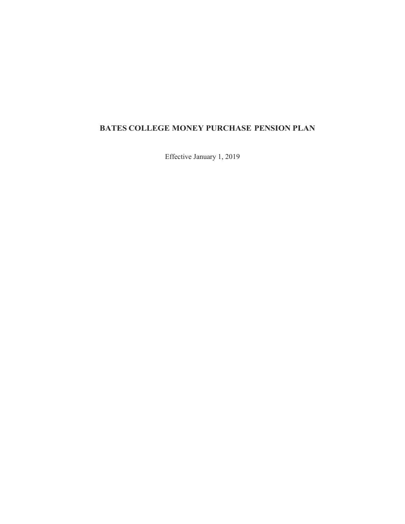# **BATES COLLEGE MONEY PURCHASE PENSION PLAN**

Effective January 1, 2019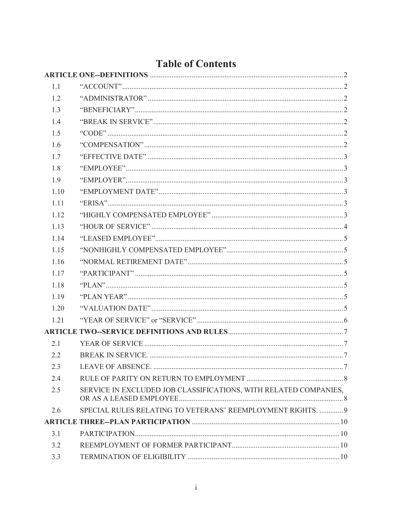| 1.1   |                                                                  |  |
|-------|------------------------------------------------------------------|--|
| 1.2   |                                                                  |  |
| 1.3   |                                                                  |  |
| 1.4   |                                                                  |  |
| 1.5   |                                                                  |  |
| 1.6   |                                                                  |  |
| 1.7   |                                                                  |  |
| 1.8   |                                                                  |  |
| 1.9   |                                                                  |  |
| 1.10  |                                                                  |  |
| 1.11  |                                                                  |  |
| 1.12  |                                                                  |  |
| 1.13  |                                                                  |  |
| 1 1 4 |                                                                  |  |
| 1.15  |                                                                  |  |
| 1 1 6 |                                                                  |  |
| 1.17  |                                                                  |  |
| 1.18  |                                                                  |  |
| 1.19  |                                                                  |  |
| 1.20  |                                                                  |  |
| 1.21  |                                                                  |  |
|       |                                                                  |  |
| 2.1   |                                                                  |  |
| 2.2   |                                                                  |  |
| 2.3   |                                                                  |  |
| 2.4   |                                                                  |  |
| 2.5   | SERVICE IN EXCLUDED JOB CLASSIFICATIONS, WITH RELATED COMPANIES, |  |
| 2.6   | SPECIAL RULES RELATING TO VETERANS' REEMPLOYMENT RIGHTS.  9      |  |
|       |                                                                  |  |
| 3.1   |                                                                  |  |
| 3.2   |                                                                  |  |
| 3.3   |                                                                  |  |

# Table of Contents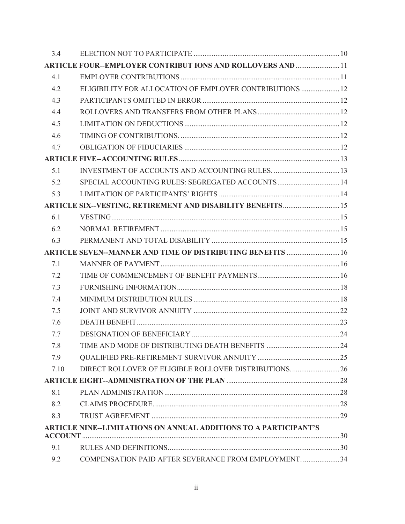| 3.4  |                                                                     |  |
|------|---------------------------------------------------------------------|--|
|      | <b>ARTICLE FOUR--EMPLOYER CONTRIBUT IONS AND ROLLOVERS AND  11</b>  |  |
| 4.1  |                                                                     |  |
| 4.2  | ELIGIBILITY FOR ALLOCATION OF EMPLOYER CONTRIBUTIONS  12            |  |
| 4.3  |                                                                     |  |
| 4.4  |                                                                     |  |
| 4.5  |                                                                     |  |
| 4.6  |                                                                     |  |
| 4.7  |                                                                     |  |
|      |                                                                     |  |
| 5.1  |                                                                     |  |
| 5.2  | SPECIAL ACCOUNTING RULES: SEGREGATED ACCOUNTS 14                    |  |
| 5.3  |                                                                     |  |
|      | <b>ARTICLE SIX--VESTING, RETIREMENT AND DISABILITY BENEFITS  15</b> |  |
| 6.1  |                                                                     |  |
| 6.2  |                                                                     |  |
| 6.3  |                                                                     |  |
|      | ARTICLE SEVEN--MANNER AND TIME OF DISTRIBUTING BENEFITS  16         |  |
| 7.1  |                                                                     |  |
| 7.2  |                                                                     |  |
| 7.3  |                                                                     |  |
| 7.4  |                                                                     |  |
| 7.5  |                                                                     |  |
| 7.6  |                                                                     |  |
| 7.7  |                                                                     |  |
| 7.8  |                                                                     |  |
| 7.9  |                                                                     |  |
| 7.10 | DIRECT ROLLOVER OF ELIGIBLE ROLLOVER DISTRIBUTIONS 26               |  |
|      |                                                                     |  |
| 8.1  |                                                                     |  |
| 8.2  |                                                                     |  |
| 8.3  |                                                                     |  |
|      | ARTICLE NINE--LIMITATIONS ON ANNUAL ADDITIONS TO A PARTICIPANT'S    |  |
| 9.1  |                                                                     |  |
| 9.2  | COMPENSATION PAID AFTER SEVERANCE FROM EMPLOYMENT.  34              |  |
|      |                                                                     |  |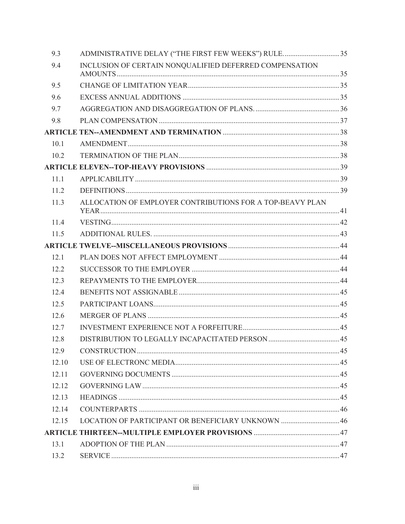| 9.3   | ADMINISTRATIVE DELAY ("THE FIRST FEW WEEKS") RULE35       |  |
|-------|-----------------------------------------------------------|--|
| 9.4   | INCLUSION OF CERTAIN NONQUALIFIED DEFERRED COMPENSATION   |  |
|       |                                                           |  |
| 9.5   |                                                           |  |
| 9.6   |                                                           |  |
| 9.7   |                                                           |  |
| 9.8   |                                                           |  |
|       |                                                           |  |
| 10.1  |                                                           |  |
| 10.2  |                                                           |  |
|       |                                                           |  |
| 11.1  |                                                           |  |
| 11.2  |                                                           |  |
| 11.3  | ALLOCATION OF EMPLOYER CONTRIBUTIONS FOR A TOP-BEAVY PLAN |  |
| 11.4  |                                                           |  |
| 11.5  |                                                           |  |
|       |                                                           |  |
| 12.1  |                                                           |  |
| 12.2  |                                                           |  |
| 12.3  |                                                           |  |
| 12.4  |                                                           |  |
| 12.5  |                                                           |  |
| 12.6  |                                                           |  |
| 12.7  |                                                           |  |
| 12.8  |                                                           |  |
| 12.9  |                                                           |  |
| 12.10 |                                                           |  |
| 12.11 |                                                           |  |
| 12.12 |                                                           |  |
| 12.13 |                                                           |  |
| 12.14 |                                                           |  |
| 12.15 |                                                           |  |
|       |                                                           |  |
| 13.1  |                                                           |  |
| 13.2  |                                                           |  |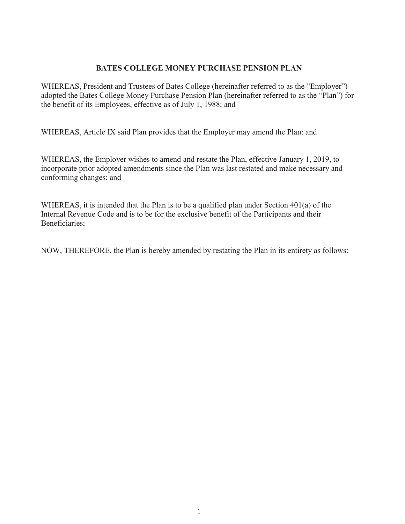#### **BATES COLLEGE MONEY PURCHASE PENSION PLAN**

WHEREAS, President and Trustees of Bates College (hereinafter referred to as the "Employer") adopted the Bates College Money Purchase Pension Plan (hereinafter referred to as the "Plan") for the benefit of its Employees, effective as of July 1, 1988; and

WHEREAS, Article IX said Plan provides that the Employer may amend the Plan: and

WHEREAS, the Employer wishes to amend and restate the Plan, effective January 1, 2019, to incorporate prior adopted amendments since the Plan was last restated and make necessary and conforming changes; and

WHEREAS, it is intended that the Plan is to be a qualified plan under Section 401(a) of the Internal Revenue Code and is to be for the exclusive benefit of the Participants and their Beneficiaries;

NOW, THEREFORE, the Plan is hereby amended by restating the Plan in its entirety as follows: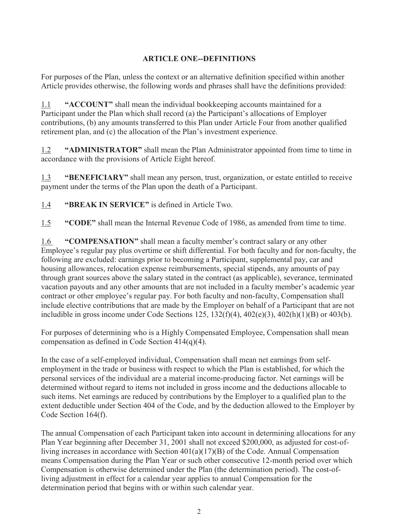# **ARTICLE ONE--DEFINITIONS**

For purposes of the Plan, unless the context or an alternative definition specified within another Article provides otherwise, the following words and phrases shall have the definitions provided:

1.1 **"ACCOUNT"** shall mean the individual bookkeeping accounts maintained for a Participant under the Plan which shall record (a) the Participant's allocations of Employer contributions, (b) any amounts transferred to this Plan under Article Four from another qualified retirement plan, and (c) the allocation of the Plan's investment experience.

1.2 **"ADMINISTRATOR"** shall mean the Plan Administrator appointed from time to time in accordance with the provisions of Article Eight hereof.

1.3 **"BENEFICIARY"** shall mean any person, trust, organization, or estate entitled to receive payment under the terms of the Plan upon the death of a Participant.

1.4 **"BREAK IN SERVICE"** is defined in Article Two.

1.5 **"CODE"** shall mean the Internal Revenue Code of 1986, as amended from time to time.

1.6 **"COMPENSATION"** shall mean a faculty member's contract salary or any other Employee's regular pay plus overtime or shift differential. For both faculty and for non-faculty, the following are excluded: earnings prior to becoming a Participant, supplemental pay, car and housing allowances, relocation expense reimbursements, special stipends, any amounts of pay through grant sources above the salary stated in the contract (as applicable), severance, terminated vacation payouts and any other amounts that are not included in a faculty member's academic year contract or other employee's regular pay. For both faculty and non-faculty, Compensation shall include elective contributions that are made by the Employer on behalf of a Participant that are not includible in gross income under Code Sections 125,  $132(f)(4)$ ,  $402(e)(3)$ ,  $402(h)(1)(B)$  or  $403(b)$ .

For purposes of determining who is a Highly Compensated Employee, Compensation shall mean compensation as defined in Code Section 414(q)(4).

In the case of a self-employed individual, Compensation shall mean net earnings from selfemployment in the trade or business with respect to which the Plan is established, for which the personal services of the individual are a material income-producing factor. Net earnings will be determined without regard to items not included in gross income and the deductions allocable to such items. Net earnings are reduced by contributions by the Employer to a qualified plan to the extent deductible under Section 404 of the Code, and by the deduction allowed to the Employer by Code Section 164(f).

The annual Compensation of each Participant taken into account in determining allocations for any Plan Year beginning after December 31, 2001 shall not exceed \$200,000, as adjusted for cost-ofliving increases in accordance with Section 401(a)(17)(B) of the Code. Annual Compensation means Compensation during the Plan Year or such other consecutive 12-month period over which Compensation is otherwise determined under the Plan (the determination period). The cost-ofliving adjustment in effect for a calendar year applies to annual Compensation for the determination period that begins with or within such calendar year.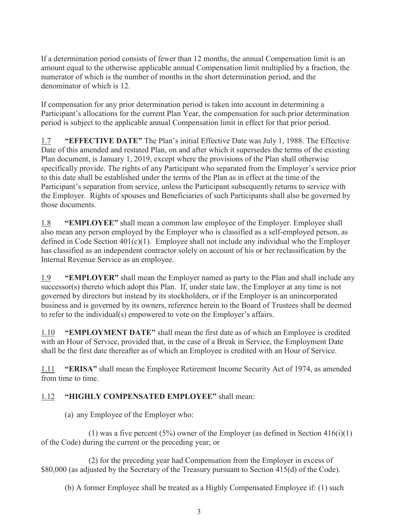If a determination period consists of fewer than 12 months, the annual Compensation limit is an amount equal to the otherwise applicable annual Compensation limit multiplied by a fraction, the numerator of which is the number of months in the short determination period, and the denominator of which is 12.

If compensation for any prior determination period is taken into account in determining a Participant's allocations for the current Plan Year, the compensation for such prior determination period is subject to the applicable annual Compensation limit in effect for that prior period.

1.7 **"EFFECTIVE DATE"** The Plan's initial Effective Date was July 1, 1988. The Effective Date of this amended and restated Plan, on and after which it supersedes the terms of the existing Plan document, is January 1, 2019, except where the provisions of the Plan shall otherwise specifically provide. The rights of any Participant who separated from the Employer's service prior to this date shall be established under the terms of the Plan as in effect at the time of the Participant's separation from service, unless the Participant subsequently returns to service with the Employer. Rights of spouses and Beneficiaries of such Participants shall also be governed by those documents.

1.8 **"EMPLOYEE"** shall mean a common law employee of the Employer. Employee shall also mean any person employed by the Employer who is classified as a self-employed person, as defined in Code Section 401(c)(1). Employee shall not include any individual who the Employer has classified as an independent contractor solely on account of his or her reclassification by the Internal Revenue Service as an employee.

1.9 **"EMPLOYER"** shall mean the Employer named as party to the Plan and shall include any successor(s) thereto which adopt this Plan. If, under state law, the Employer at any time is not governed by directors but instead by its stockholders, or if the Employer is an unincorporated business and is governed by its owners, reference herein to the Board of Trustees shall be deemed to refer to the individual(s) empowered to vote on the Employer's affairs.

1.10 **"EMPLOYMENT DATE"** shall mean the first date as of which an Employee is credited with an Hour of Service, provided that, in the case of a Break in Service, the Employment Date shall be the first date thereafter as of which an Employee is credited with an Hour of Service.

1.11 **"ERISA"** shall mean the Employee Retirement Income Security Act of 1974, as amended from time to time.

# 1.12 **"HIGHLY COMPENSATED EMPLOYEE"** shall mean:

(a) any Employee of the Employer who:

(1) was a five percent  $(5\%)$  owner of the Employer (as defined in Section 416(i)(1) of the Code) during the current or the preceding year; or

 (2) for the preceding year had Compensation from the Employer in excess of \$80,000 (as adjusted by the Secretary of the Treasury pursuant to Section 415(d) of the Code).

(b) A former Employee shall be treated as a Highly Compensated Employee if: (1) such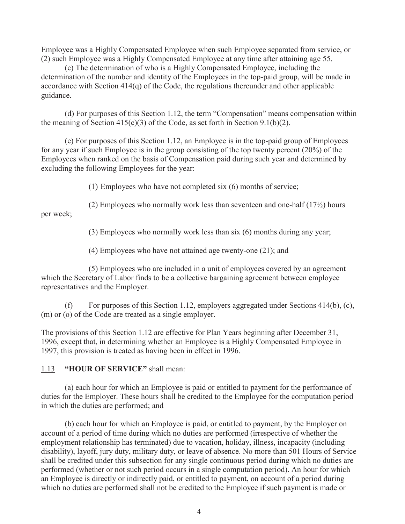Employee was a Highly Compensated Employee when such Employee separated from service, or (2) such Employee was a Highly Compensated Employee at any time after attaining age 55.

 (c) The determination of who is a Highly Compensated Employee, including the determination of the number and identity of the Employees in the top-paid group, will be made in accordance with Section 414(q) of the Code, the regulations thereunder and other applicable guidance.

 (d) For purposes of this Section 1.12, the term "Compensation" means compensation within the meaning of Section  $415(c)(3)$  of the Code, as set forth in Section 9.1(b)(2).

 (e) For purposes of this Section 1.12, an Employee is in the top-paid group of Employees for any year if such Employee is in the group consisting of the top twenty percent (20%) of the Employees when ranked on the basis of Compensation paid during such year and determined by excluding the following Employees for the year:

(1) Employees who have not completed six (6) months of service;

(2) Employees who normally work less than seventeen and one-half  $(17/2)$  hours

per week;

(3) Employees who normally work less than six (6) months during any year;

(4) Employees who have not attained age twenty-one (21); and

 (5) Employees who are included in a unit of employees covered by an agreement which the Secretary of Labor finds to be a collective bargaining agreement between employee representatives and the Employer.

For purposes of this Section 1.12, employers aggregated under Sections 414(b), (c), (m) or (o) of the Code are treated as a single employer.

The provisions of this Section 1.12 are effective for Plan Years beginning after December 31, 1996, except that, in determining whether an Employee is a Highly Compensated Employee in 1997, this provision is treated as having been in effect in 1996.

1.13 **"HOUR OF SERVICE"** shall mean:

 (a) each hour for which an Employee is paid or entitled to payment for the performance of duties for the Employer. These hours shall be credited to the Employee for the computation period in which the duties are performed; and

 (b) each hour for which an Employee is paid, or entitled to payment, by the Employer on account of a period of time during which no duties are performed (irrespective of whether the employment relationship has terminated) due to vacation, holiday, illness, incapacity (including disability), layoff, jury duty, military duty, or leave of absence. No more than 501 Hours of Service shall be credited under this subsection for any single continuous period during which no duties are performed (whether or not such period occurs in a single computation period). An hour for which an Employee is directly or indirectly paid, or entitled to payment, on account of a period during which no duties are performed shall not be credited to the Employee if such payment is made or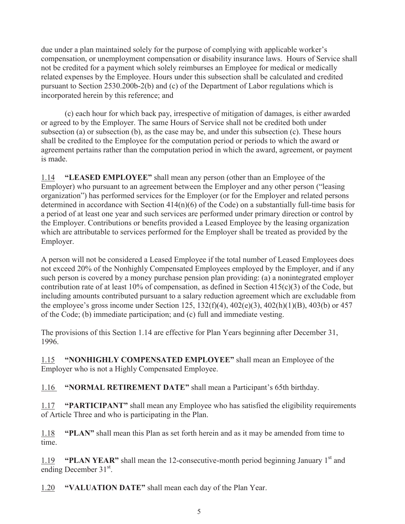due under a plan maintained solely for the purpose of complying with applicable worker's compensation, or unemployment compensation or disability insurance laws. Hours of Service shall not be credited for a payment which solely reimburses an Employee for medical or medically related expenses by the Employee. Hours under this subsection shall be calculated and credited pursuant to Section 2530.200b-2(b) and (c) of the Department of Labor regulations which is incorporated herein by this reference; and

 (c) each hour for which back pay, irrespective of mitigation of damages, is either awarded or agreed to by the Employer. The same Hours of Service shall not be credited both under subsection (a) or subsection (b), as the case may be, and under this subsection (c). These hours shall be credited to the Employee for the computation period or periods to which the award or agreement pertains rather than the computation period in which the award, agreement, or payment is made.

1.14 **"LEASED EMPLOYEE"** shall mean any person (other than an Employee of the Employer) who pursuant to an agreement between the Employer and any other person ("leasing organization") has performed services for the Employer (or for the Employer and related persons determined in accordance with Section 414(n)(6) of the Code) on a substantially full-time basis for a period of at least one year and such services are performed under primary direction or control by the Employer. Contributions or benefits provided a Leased Employee by the leasing organization which are attributable to services performed for the Employer shall be treated as provided by the Employer.

A person will not be considered a Leased Employee if the total number of Leased Employees does not exceed 20% of the Nonhighly Compensated Employees employed by the Employer, and if any such person is covered by a money purchase pension plan providing: (a) a nonintegrated employer contribution rate of at least 10% of compensation, as defined in Section 415(c)(3) of the Code, but including amounts contributed pursuant to a salary reduction agreement which are excludable from the employee's gross income under Section 125,  $132(f)(4)$ ,  $402(e)(3)$ ,  $402(h)(1)(B)$ ,  $403(b)$  or 457 of the Code; (b) immediate participation; and (c) full and immediate vesting.

The provisions of this Section 1.14 are effective for Plan Years beginning after December 31, 1996.

1.15 **"NONHIGHLY COMPENSATED EMPLOYEE"** shall mean an Employee of the Employer who is not a Highly Compensated Employee.

1.16 **"NORMAL RETIREMENT DATE"** shall mean a Participant's 65th birthday.

1.17 **"PARTICIPANT"** shall mean any Employee who has satisfied the eligibility requirements of Article Three and who is participating in the Plan.

1.18 **"PLAN"** shall mean this Plan as set forth herein and as it may be amended from time to time.

1.19 **"PLAN YEAR"** shall mean the 12-consecutive-month period beginning January 1st and ending December 31st.

1.20 **"VALUATION DATE"** shall mean each day of the Plan Year.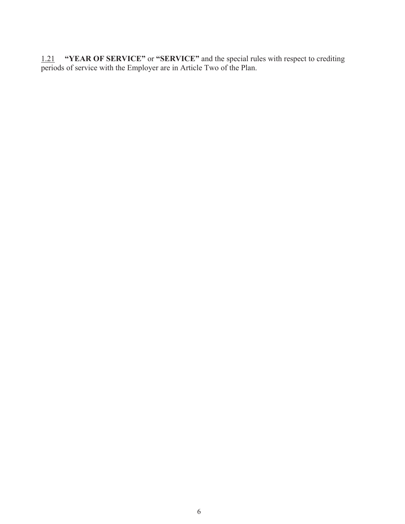1.21 **"YEAR OF SERVICE"** or **"SERVICE"** and the special rules with respect to crediting periods of service with the Employer are in Article Two of the Plan.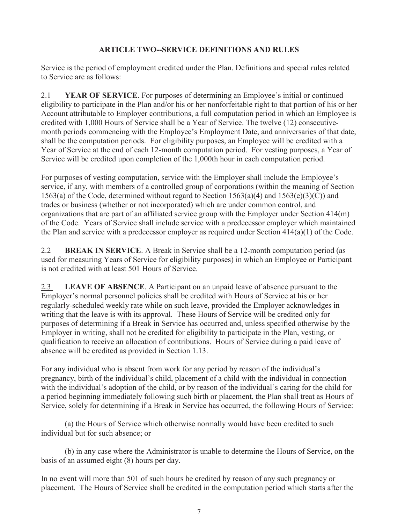## **ARTICLE TWO--SERVICE DEFINITIONS AND RULES**

Service is the period of employment credited under the Plan. Definitions and special rules related to Service are as follows:

2.1 **YEAR OF SERVICE**. For purposes of determining an Employee's initial or continued eligibility to participate in the Plan and/or his or her nonforfeitable right to that portion of his or her Account attributable to Employer contributions, a full computation period in which an Employee is credited with 1,000 Hours of Service shall be a Year of Service. The twelve (12) consecutivemonth periods commencing with the Employee's Employment Date, and anniversaries of that date, shall be the computation periods. For eligibility purposes, an Employee will be credited with a Year of Service at the end of each 12-month computation period. For vesting purposes, a Year of Service will be credited upon completion of the 1,000th hour in each computation period.

For purposes of vesting computation, service with the Employer shall include the Employee's service, if any, with members of a controlled group of corporations (within the meaning of Section 1563(a) of the Code, determined without regard to Section 1563(a)(4) and 1563(e)(3)(C)) and trades or business (whether or not incorporated) which are under common control, and organizations that are part of an affiliated service group with the Employer under Section 414(m) of the Code. Years of Service shall include service with a predecessor employer which maintained the Plan and service with a predecessor employer as required under Section 414(a)(1) of the Code.

2.2 **BREAK IN SERVICE**. A Break in Service shall be a 12-month computation period (as used for measuring Years of Service for eligibility purposes) in which an Employee or Participant is not credited with at least 501 Hours of Service.

2.3 **LEAVE OF ABSENCE**. A Participant on an unpaid leave of absence pursuant to the Employer's normal personnel policies shall be credited with Hours of Service at his or her regularly-scheduled weekly rate while on such leave, provided the Employer acknowledges in writing that the leave is with its approval. These Hours of Service will be credited only for purposes of determining if a Break in Service has occurred and, unless specified otherwise by the Employer in writing, shall not be credited for eligibility to participate in the Plan, vesting, or qualification to receive an allocation of contributions. Hours of Service during a paid leave of absence will be credited as provided in Section 1.13.

For any individual who is absent from work for any period by reason of the individual's pregnancy, birth of the individual's child, placement of a child with the individual in connection with the individual's adoption of the child, or by reason of the individual's caring for the child for a period beginning immediately following such birth or placement, the Plan shall treat as Hours of Service, solely for determining if a Break in Service has occurred, the following Hours of Service:

 (a) the Hours of Service which otherwise normally would have been credited to such individual but for such absence; or

 (b) in any case where the Administrator is unable to determine the Hours of Service, on the basis of an assumed eight (8) hours per day.

In no event will more than 501 of such hours be credited by reason of any such pregnancy or placement. The Hours of Service shall be credited in the computation period which starts after the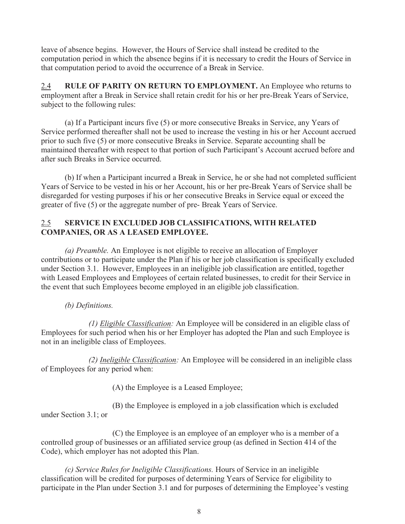leave of absence begins. However, the Hours of Service shall instead be credited to the computation period in which the absence begins if it is necessary to credit the Hours of Service in that computation period to avoid the occurrence of a Break in Service.

2.4 **RULE OF PARITY ON RETURN TO EMPLOYMENT.** An Employee who returns to employment after a Break in Service shall retain credit for his or her pre-Break Years of Service, subject to the following rules:

 (a) If a Participant incurs five (5) or more consecutive Breaks in Service, any Years of Service performed thereafter shall not be used to increase the vesting in his or her Account accrued prior to such five (5) or more consecutive Breaks in Service. Separate accounting shall be maintained thereafter with respect to that portion of such Participant's Account accrued before and after such Breaks in Service occurred.

 (b) If when a Participant incurred a Break in Service, he or she had not completed sufficient Years of Service to be vested in his or her Account, his or her pre-Break Years of Service shall be disregarded for vesting purposes if his or her consecutive Breaks in Service equal or exceed the greater of five (5) or the aggregate number of pre- Break Years of Service.

#### 2.5 **SERVICE IN EXCLUDED JOB CLASSIFICATIONS, WITH RELATED COMPANIES, OR AS A LEASED EMPLOYEE.**

 *(a) Preamble.* An Employee is not eligible to receive an allocation of Employer contributions or to participate under the Plan if his or her job classification is specifically excluded under Section 3.1. However, Employees in an ineligible job classification are entitled, together with Leased Employees and Employees of certain related businesses, to credit for their Service in the event that such Employees become employed in an eligible job classification.

 *(b) Definitions.*

 *(1) Eligible Classification:* An Employee will be considered in an eligible class of Employees for such period when his or her Employer has adopted the Plan and such Employee is not in an ineligible class of Employees.

 *(2) Ineligible Classification:* An Employee will be considered in an ineligible class of Employees for any period when:

(A) the Employee is a Leased Employee;

 (B) the Employee is employed in a job classification which is excluded under Section 3.1; or

 (C) the Employee is an employee of an employer who is a member of a controlled group of businesses or an affiliated service group (as defined in Section 414 of the Code), which employer has not adopted this Plan.

 *(c) Service Rules for Ineligible Classifications.* Hours of Service in an ineligible classification will be credited for purposes of determining Years of Service for eligibility to participate in the Plan under Section 3.1 and for purposes of determining the Employee's vesting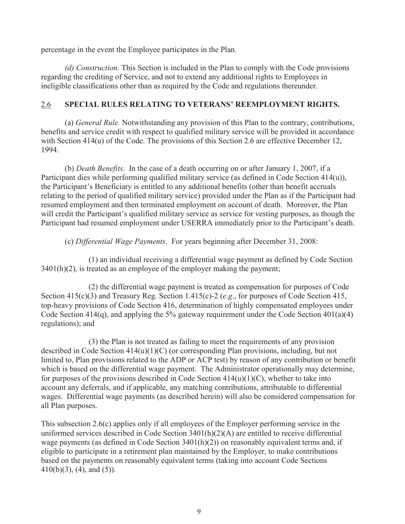percentage in the event the Employee participates in the Plan.

 *(d) Construction.* This Section is included in the Plan to comply with the Code provisions regarding the crediting of Service, and not to extend any additional rights to Employees in ineligible classifications other than as required by the Code and regulations thereunder.

## 2.6 **SPECIAL RULES RELATING TO VETERANS' REEMPLOYMENT RIGHTS.**

(a) *General Rule.* Notwithstanding any provision of this Plan to the contrary, contributions, benefits and service credit with respect to qualified military service will be provided in accordance with Section 414(u) of the Code. The provisions of this Section 2.6 are effective December 12, 1994.

 (b) *Death Benefits*. In the case of a death occurring on or after January 1, 2007, if a Participant dies while performing qualified military service (as defined in Code Section 414(u)), the Participant's Beneficiary is entitled to any additional benefits (other than benefit accruals relating to the period of qualified military service) provided under the Plan as if the Participant had resumed employment and then terminated employment on account of death. Moreover, the Plan will credit the Participant's qualified military service as service for vesting purposes, as though the Participant had resumed employment under USERRA immediately prior to the Participant's death.

(c) *Differential Wage Payments.* For years beginning after December 31, 2008:

 (1) an individual receiving a differential wage payment as defined by Code Section 3401(h)(2), is treated as an employee of the employer making the payment;

 (2) the differential wage payment is treated as compensation for purposes of Code Section 415(c)(3) and Treasury Reg. Section 1.415(c)-2 (*e.g*., for purposes of Code Section 415, top-heavy provisions of Code Section 416, determination of highly compensated employees under Code Section 414(q), and applying the 5% gateway requirement under the Code Section 401(a)(4) regulations); and

 (3) the Plan is not treated as failing to meet the requirements of any provision described in Code Section 414(u)(1)(C) (or corresponding Plan provisions, including, but not limited to, Plan provisions related to the ADP or ACP test) by reason of any contribution or benefit which is based on the differential wage payment. The Administrator operationally may determine, for purposes of the provisions described in Code Section  $414(u)(1)(C)$ , whether to take into account any deferrals, and if applicable, any matching contributions, attributable to differential wages. Differential wage payments (as described herein) will also be considered compensation for all Plan purposes.

This subsection 2.6(c) applies only if all employees of the Employer performing service in the uniformed services described in Code Section 3401(h)(2)(A) are entitled to receive differential wage payments (as defined in Code Section 3401(h)(2)) on reasonably equivalent terms and, if eligible to participate in a retirement plan maintained by the Employer, to make contributions based on the payments on reasonably equivalent terms (taking into account Code Sections  $410(b)(3)$ , (4), and (5)).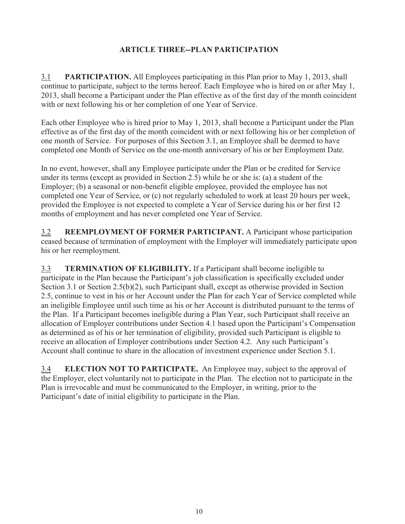# **ARTICLE THREE--PLAN PARTICIPATION**

3.1 **PARTICIPATION.** All Employees participating in this Plan prior to May 1, 2013, shall continue to participate, subject to the terms hereof. Each Employee who is hired on or after May 1, 2013, shall become a Participant under the Plan effective as of the first day of the month coincident with or next following his or her completion of one Year of Service.

Each other Employee who is hired prior to May 1, 2013, shall become a Participant under the Plan effective as of the first day of the month coincident with or next following his or her completion of one month of Service. For purposes of this Section 3.1, an Employee shall be deemed to have completed one Month of Service on the one-month anniversary of his or her Employment Date.

In no event, however, shall any Employee participate under the Plan or be credited for Service under its terms (except as provided in Section 2.5) while he or she is: (a) a student of the Employer; (b) a seasonal or non-benefit eligible employee, provided the employee has not completed one Year of Service, or (c) not regularly scheduled to work at least 20 hours per week, provided the Employee is not expected to complete a Year of Service during his or her first 12 months of employment and has never completed one Year of Service.

3.2 **REEMPLOYMENT OF FORMER PARTICIPANT.** A Participant whose participation ceased because of termination of employment with the Employer will immediately participate upon his or her reemployment.

3.3 **TERMINATION OF ELIGIBILITY.** If a Participant shall become ineligible to participate in the Plan because the Participant's job classification is specifically excluded under Section 3.1 or Section 2.5(b)(2), such Participant shall, except as otherwise provided in Section 2.5, continue to vest in his or her Account under the Plan for each Year of Service completed while an ineligible Employee until such time as his or her Account is distributed pursuant to the terms of the Plan. If a Participant becomes ineligible during a Plan Year, such Participant shall receive an allocation of Employer contributions under Section 4.1 based upon the Participant's Compensation as determined as of his or her termination of eligibility, provided such Participant is eligible to receive an allocation of Employer contributions under Section 4.2. Any such Participant's Account shall continue to share in the allocation of investment experience under Section 5.1.

3.4 **ELECTION NOT TO PARTICIPATE.** An Employee may, subject to the approval of the Employer, elect voluntarily not to participate in the Plan. The election not to participate in the Plan is irrevocable and must be communicated to the Employer, in writing, prior to the Participant's date of initial eligibility to participate in the Plan.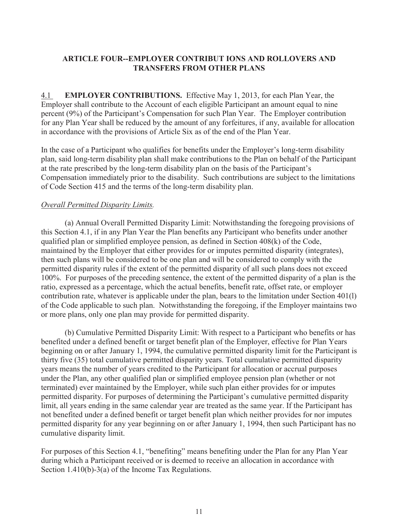## **ARTICLE FOUR--EMPLOYER CONTRIBUT IONS AND ROLLOVERS AND TRANSFERS FROM OTHER PLANS**

4.1 **EMPLOYER CONTRIBUTIONS.** Effective May 1, 2013, for each Plan Year, the Employer shall contribute to the Account of each eligible Participant an amount equal to nine percent (9%) of the Participant's Compensation for such Plan Year. The Employer contribution for any Plan Year shall be reduced by the amount of any forfeitures, if any, available for allocation in accordance with the provisions of Article Six as of the end of the Plan Year.

In the case of a Participant who qualifies for benefits under the Employer's long-term disability plan, said long-term disability plan shall make contributions to the Plan on behalf of the Participant at the rate prescribed by the long-term disability plan on the basis of the Participant's Compensation immediately prior to the disability. Such contributions are subject to the limitations of Code Section 415 and the terms of the long-term disability plan.

#### *Overall Permitted Disparity Limits.*

 (a) Annual Overall Permitted Disparity Limit: Notwithstanding the foregoing provisions of this Section 4.1, if in any Plan Year the Plan benefits any Participant who benefits under another qualified plan or simplified employee pension, as defined in Section 408(k) of the Code, maintained by the Employer that either provides for or imputes permitted disparity (integrates), then such plans will be considered to be one plan and will be considered to comply with the permitted disparity rules if the extent of the permitted disparity of all such plans does not exceed 100%. For purposes of the preceding sentence, the extent of the permitted disparity of a plan is the ratio, expressed as a percentage, which the actual benefits, benefit rate, offset rate, or employer contribution rate, whatever is applicable under the plan, bears to the limitation under Section 401(l) of the Code applicable to such plan. Notwithstanding the foregoing, if the Employer maintains two or more plans, only one plan may provide for permitted disparity.

 (b) Cumulative Permitted Disparity Limit: With respect to a Participant who benefits or has benefited under a defined benefit or target benefit plan of the Employer, effective for Plan Years beginning on or after January 1, 1994, the cumulative permitted disparity limit for the Participant is thirty five (35) total cumulative permitted disparity years. Total cumulative permitted disparity years means the number of years credited to the Participant for allocation or accrual purposes under the Plan, any other qualified plan or simplified employee pension plan (whether or not terminated) ever maintained by the Employer, while such plan either provides for or imputes permitted disparity. For purposes of determining the Participant's cumulative permitted disparity limit, all years ending in the same calendar year are treated as the same year. If the Participant has not benefited under a defined benefit or target benefit plan which neither provides for nor imputes permitted disparity for any year beginning on or after January 1, 1994, then such Participant has no cumulative disparity limit.

For purposes of this Section 4.1, "benefiting" means benefiting under the Plan for any Plan Year during which a Participant received or is deemed to receive an allocation in accordance with Section 1.410(b)-3(a) of the Income Tax Regulations.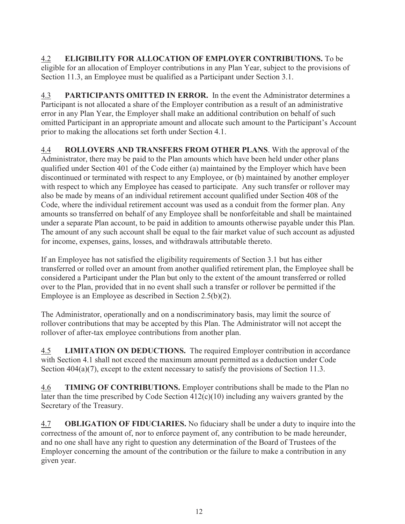4.2 **ELIGIBILITY FOR ALLOCATION OF EMPLOYER CONTRIBUTIONS.** To be eligible for an allocation of Employer contributions in any Plan Year, subject to the provisions of Section 11.3, an Employee must be qualified as a Participant under Section 3.1.

4.3 **PARTICIPANTS OMITTED IN ERROR.** In the event the Administrator determines a Participant is not allocated a share of the Employer contribution as a result of an administrative error in any Plan Year, the Employer shall make an additional contribution on behalf of such omitted Participant in an appropriate amount and allocate such amount to the Participant's Account prior to making the allocations set forth under Section 4.1.

4.4 **ROLLOVERS AND TRANSFERS FROM OTHER PLANS**. With the approval of the Administrator, there may be paid to the Plan amounts which have been held under other plans qualified under Section 401 of the Code either (a) maintained by the Employer which have been discontinued or terminated with respect to any Employee, or (b) maintained by another employer with respect to which any Employee has ceased to participate. Any such transfer or rollover may also be made by means of an individual retirement account qualified under Section 408 of the Code, where the individual retirement account was used as a conduit from the former plan. Any amounts so transferred on behalf of any Employee shall be nonforfeitable and shall be maintained under a separate Plan account, to be paid in addition to amounts otherwise payable under this Plan. The amount of any such account shall be equal to the fair market value of such account as adjusted for income, expenses, gains, losses, and withdrawals attributable thereto.

If an Employee has not satisfied the eligibility requirements of Section 3.1 but has either transferred or rolled over an amount from another qualified retirement plan, the Employee shall be considered a Participant under the Plan but only to the extent of the amount transferred or rolled over to the Plan, provided that in no event shall such a transfer or rollover be permitted if the Employee is an Employee as described in Section 2.5(b)(2).

The Administrator, operationally and on a nondiscriminatory basis, may limit the source of rollover contributions that may be accepted by this Plan. The Administrator will not accept the rollover of after-tax employee contributions from another plan.

4.5 **LIMITATION ON DEDUCTIONS.** The required Employer contribution in accordance with Section 4.1 shall not exceed the maximum amount permitted as a deduction under Code Section 404(a)(7), except to the extent necessary to satisfy the provisions of Section 11.3.

4.6 **TIMING OF CONTRIBUTIONS.** Employer contributions shall be made to the Plan no later than the time prescribed by Code Section 412(c)(10) including any waivers granted by the Secretary of the Treasury.

4.7 **OBLIGATION OF FIDUCIARIES.** No fiduciary shall be under a duty to inquire into the correctness of the amount of, nor to enforce payment of, any contribution to be made hereunder, and no one shall have any right to question any determination of the Board of Trustees of the Employer concerning the amount of the contribution or the failure to make a contribution in any given year.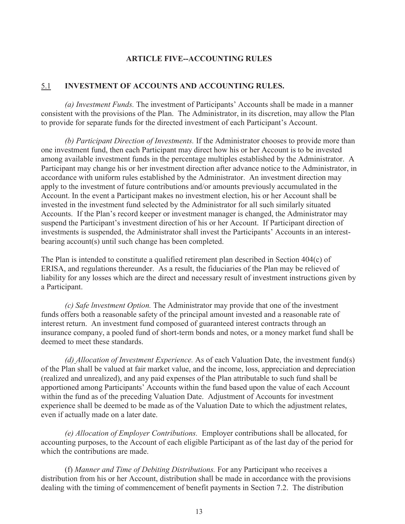#### **ARTICLE FIVE--ACCOUNTING RULES**

#### 5.1 **INVESTMENT OF ACCOUNTS AND ACCOUNTING RULES.**

 *(a) Investment Funds.* The investment of Participants' Accounts shall be made in a manner consistent with the provisions of the Plan. The Administrator, in its discretion, may allow the Plan to provide for separate funds for the directed investment of each Participant's Account.

 *(b) Participant Direction of Investments.* If the Administrator chooses to provide more than one investment fund, then each Participant may direct how his or her Account is to be invested among available investment funds in the percentage multiples established by the Administrator. A Participant may change his or her investment direction after advance notice to the Administrator, in accordance with uniform rules established by the Administrator. An investment direction may apply to the investment of future contributions and/or amounts previously accumulated in the Account. In the event a Participant makes no investment election, his or her Account shall be invested in the investment fund selected by the Administrator for all such similarly situated Accounts. If the Plan's record keeper or investment manager is changed, the Administrator may suspend the Participant's investment direction of his or her Account. If Participant direction of investments is suspended, the Administrator shall invest the Participants' Accounts in an interestbearing account(s) until such change has been completed.

The Plan is intended to constitute a qualified retirement plan described in Section 404(c) of ERISA, and regulations thereunder. As a result, the fiduciaries of the Plan may be relieved of liability for any losses which are the direct and necessary result of investment instructions given by a Participant.

 *(c) Safe lnvestment Option.* The Administrator may provide that one of the investment funds offers both a reasonable safety of the principal amount invested and a reasonable rate of interest return. An investment fund composed of guaranteed interest contracts through an insurance company, a pooled fund of short-term bonds and notes, or a money market fund shall be deemed to meet these standards.

 *(d) Allocation of Investment Experience.* As of each Valuation Date, the investment fund(s) of the Plan shall be valued at fair market value, and the income, loss, appreciation and depreciation (realized and unrealized), and any paid expenses of the Plan attributable to such fund shall be apportioned among Participants' Accounts within the fund based upon the value of each Account within the fund as of the preceding Valuation Date. Adjustment of Accounts for investment experience shall be deemed to be made as of the Valuation Date to which the adjustment relates, even if actually made on a later date.

 *(e) Allocation of Employer Contributions.* Employer contributions shall be allocated, for accounting purposes, to the Account of each eligible Participant as of the last day of the period for which the contributions are made.

 (f) *Manner and Time of Debiting Distributions.* For any Participant who receives a distribution from his or her Account, distribution shall be made in accordance with the provisions dealing with the timing of commencement of benefit payments in Section 7.2. The distribution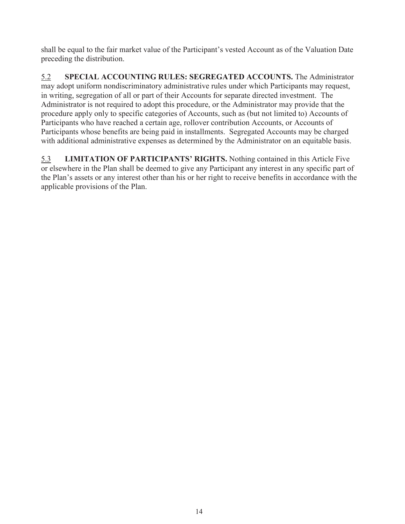shall be equal to the fair market value of the Participant's vested Account as of the Valuation Date preceding the distribution.

5.2 **SPECIAL ACCOUNTING RULES: SEGREGATED ACCOUNTS.** The Administrator may adopt uniform nondiscriminatory administrative rules under which Participants may request, in writing, segregation of all or part of their Accounts for separate directed investment. The Administrator is not required to adopt this procedure, or the Administrator may provide that the procedure apply only to specific categories of Accounts, such as (but not limited to) Accounts of Participants who have reached a certain age, rollover contribution Accounts, or Accounts of Participants whose benefits are being paid in installments. Segregated Accounts may be charged with additional administrative expenses as determined by the Administrator on an equitable basis.

5.3 **LIMITATION OF PARTICIPANTS' RIGHTS.** Nothing contained in this Article Five or elsewhere in the Plan shall be deemed to give any Participant any interest in any specific part of the Plan's assets or any interest other than his or her right to receive benefits in accordance with the applicable provisions of the Plan.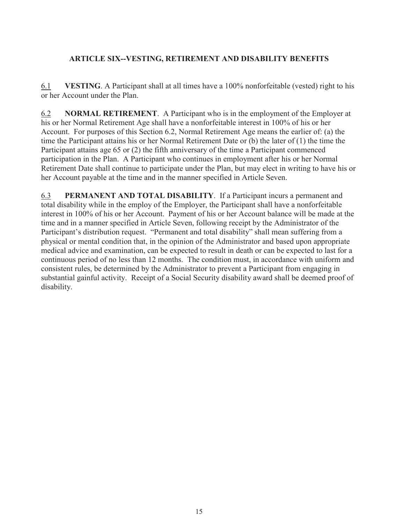## **ARTICLE SIX--VESTING, RETIREMENT AND DISABILITY BENEFITS**

6.1 **VESTING**. A Participant shall at all times have a 100% nonforfeitable (vested) right to his or her Account under the Plan.

6.2 **NORMAL RETIREMENT**. A Participant who is in the employment of the Employer at his or her Normal Retirement Age shall have a nonforfeitable interest in 100% of his or her Account. For purposes of this Section 6.2, Normal Retirement Age means the earlier of: (a) the time the Participant attains his or her Normal Retirement Date or (b) the later of (1) the time the Participant attains age 65 or (2) the fifth anniversary of the time a Participant commenced participation in the Plan. A Participant who continues in employment after his or her Normal Retirement Date shall continue to participate under the Plan, but may elect in writing to have his or her Account payable at the time and in the manner specified in Article Seven.

6.3 **PERMANENT AND TOTAL DISABILITY**. If a Participant incurs a permanent and total disability while in the employ of the Employer, the Participant shall have a nonforfeitable interest in 100% of his or her Account. Payment of his or her Account balance will be made at the time and in a manner specified in Article Seven, following receipt by the Administrator of the Participant's distribution request. "Permanent and total disability" shall mean suffering from a physical or mental condition that, in the opinion of the Administrator and based upon appropriate medical advice and examination, can be expected to result in death or can be expected to last for a continuous period of no less than 12 months. The condition must, in accordance with uniform and consistent rules, be determined by the Administrator to prevent a Participant from engaging in substantial gainful activity. Receipt of a Social Security disability award shall be deemed proof of disability.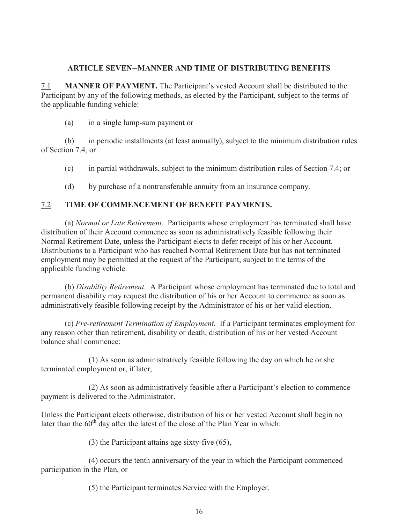#### **ARTICLE SEVEN--MANNER AND TIME OF DISTRIBUTING BENEFITS**

7.1 **MANNER OF PAYMENT.** The Participant's vested Account shall be distributed to the Participant by any of the following methods, as elected by the Participant, subject to the terms of the applicable funding vehicle:

(a) in a single lump-sum payment or

 (b) in periodic installments (at least annually), subject to the minimum distribution rules of Section 7.4, or

- (c) in partial withdrawals, subject to the minimum distribution rules of Section 7.4; or
- (d) by purchase of a nontransferable annuity from an insurance company.

## 7.2 **TIME OF COMMENCEMENT OF BENEFIT PAYMENTS.**

 (a) *Normal or Late Retirement*. Participants whose employment has terminated shall have distribution of their Account commence as soon as administratively feasible following their Normal Retirement Date, unless the Participant elects to defer receipt of his or her Account. Distributions to a Participant who has reached Normal Retirement Date but has not terminated employment may be permitted at the request of the Participant, subject to the terms of the applicable funding vehicle.

 (b) *Disability Retirement.* A Participant whose employment has terminated due to total and permanent disability may request the distribution of his or her Account to commence as soon as administratively feasible following receipt by the Administrator of his or her valid election.

 (c) *Pre-retirement Termination of Employment.* If a Participant terminates employment for any reason other than retirement, disability or death, distribution of his or her vested Account balance shall commence:

 (1) As soon as administratively feasible following the day on which he or she terminated employment or, if later,

 (2) As soon as administratively feasible after a Participant's election to commence payment is delivered to the Administrator.

Unless the Participant elects otherwise, distribution of his or her vested Account shall begin no later than the  $60<sup>th</sup>$  day after the latest of the close of the Plan Year in which:

(3) the Participant attains age sixty-five (65),

 (4) occurs the tenth anniversary of the year in which the Participant commenced participation in the Plan, or

(5) the Participant terminates Service with the Employer.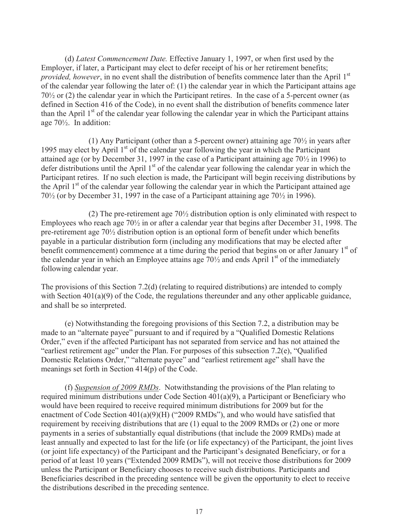(d) *Latest Commencement Date.* Effective January 1, 1997, or when first used by the Employer, if later, a Participant may elect to defer receipt of his or her retirement benefits; *provided, however*, in no event shall the distribution of benefits commence later than the April 1<sup>st</sup> of the calendar year following the later of: (1) the calendar year in which the Participant attains age 70½ or (2) the calendar year in which the Participant retires. In the case of a 5-percent owner (as defined in Section 416 of the Code), in no event shall the distribution of benefits commence later than the April  $1<sup>st</sup>$  of the calendar year following the calendar year in which the Participant attains age 70½. In addition:

 (1) Any Participant (other than a 5-percent owner) attaining age 70½ in years after 1995 may elect by April  $1<sup>st</sup>$  of the calendar year following the year in which the Participant attained age (or by December 31, 1997 in the case of a Participant attaining age 70½ in 1996) to defer distributions until the April 1<sup>st</sup> of the calendar year following the calendar year in which the Participant retires. If no such election is made, the Participant will begin receiving distributions by the April 1<sup>st</sup> of the calendar year following the calendar year in which the Participant attained age 70½ (or by December 31, 1997 in the case of a Participant attaining age 70½ in 1996).

 (2) The pre-retirement age 70½ distribution option is only eliminated with respect to Employees who reach age  $70\frac{1}{2}$  in or after a calendar year that begins after December 31, 1998. The pre-retirement age 70½ distribution option is an optional form of benefit under which benefits payable in a particular distribution form (including any modifications that may be elected after benefit commencement) commence at a time during the period that begins on or after January  $1<sup>st</sup>$  of the calendar year in which an Employee attains age  $70\frac{1}{2}$  and ends April 1<sup>st</sup> of the immediately following calendar year.

The provisions of this Section 7.2(d) (relating to required distributions) are intended to comply with Section 401(a)(9) of the Code, the regulations thereunder and any other applicable guidance, and shall be so interpreted.

 (e) Notwithstanding the foregoing provisions of this Section 7.2, a distribution may be made to an "alternate payee" pursuant to and if required by a "Qualified Domestic Relations Order," even if the affected Participant has not separated from service and has not attained the "earliest retirement age" under the Plan. For purposes of this subsection 7.2(e), "Qualified Domestic Relations Order," "alternate payee" and "earliest retirement age" shall have the meanings set forth in Section 414(p) of the Code.

 (f) *Suspension of 2009 RMDs*.Notwithstanding the provisions of the Plan relating to required minimum distributions under Code Section 401(a)(9), a Participant or Beneficiary who would have been required to receive required minimum distributions for 2009 but for the enactment of Code Section 401(a)(9)(H) ("2009 RMDs"), and who would have satisfied that requirement by receiving distributions that are (1) equal to the 2009 RMDs or (2) one or more payments in a series of substantially equal distributions (that include the 2009 RMDs) made at least annually and expected to last for the life (or life expectancy) of the Participant, the joint lives (or joint life expectancy) of the Participant and the Participant's designated Beneficiary, or for a period of at least 10 years ("Extended 2009 RMDs"), will not receive those distributions for 2009 unless the Participant or Beneficiary chooses to receive such distributions. Participants and Beneficiaries described in the preceding sentence will be given the opportunity to elect to receive the distributions described in the preceding sentence.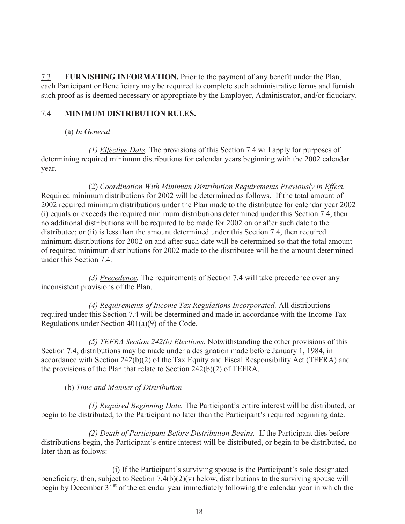7.3 **FURNISHING INFORMATION.** Prior to the payment of any benefit under the Plan, each Participant or Beneficiary may be required to complete such administrative forms and furnish such proof as is deemed necessary or appropriate by the Employer, Administrator, and/or fiduciary.

# 7.4 **MINIMUM DISTRIBUTION RULES.**

(a) *In General*

 *(1) Effective Date.* The provisions of this Section 7.4 will apply for purposes of determining required minimum distributions for calendar years beginning with the 2002 calendar year.

 (2) *Coordination With Minimum Distribution Requirements Previously in Effect.*  Required minimum distributions for 2002 will be determined as follows. If the total amount of 2002 required minimum distributions under the Plan made to the distributee for calendar year 2002 (i) equals or exceeds the required minimum distributions determined under this Section 7.4, then no additional distributions will be required to be made for 2002 on or after such date to the distributee; or (ii) is less than the amount determined under this Section 7.4, then required minimum distributions for 2002 on and after such date will be determined so that the total amount of required minimum distributions for 2002 made to the distributee will be the amount determined under this Section 7.4.

 *(3) Precedence.* The requirements of Section 7.4 will take precedence over any inconsistent provisions of the Plan.

 *(4) Requirements of Income Tax Regulations Incorporated.* All distributions required under this Section 7.4 will be determined and made in accordance with the Income Tax Regulations under Section 401(a)(9) of the Code.

 *(5) TEFRA Section 242(b) Elections.* Notwithstanding the other provisions of this Section 7.4, distributions may be made under a designation made before January 1, 1984, in accordance with Section 242(b)(2) of the Tax Equity and Fiscal Responsibility Act (TEFRA) and the provisions of the Plan that relate to Section 242(b)(2) of TEFRA.

## (b) *Time and Manner of Distribution*

 *(1) Required Beginning Date.* The Participant's entire interest will be distributed, or begin to be distributed, to the Participant no later than the Participant's required beginning date.

 *(2) Death of Participant Before Distribution Begins.* If the Participant dies before distributions begin, the Participant's entire interest will be distributed, or begin to be distributed, no later than as follows:

 (i) If the Participant's surviving spouse is the Participant's sole designated beneficiary, then, subject to Section 7.4(b)(2)(v) below, distributions to the surviving spouse will begin by December 31<sup>st</sup> of the calendar year immediately following the calendar year in which the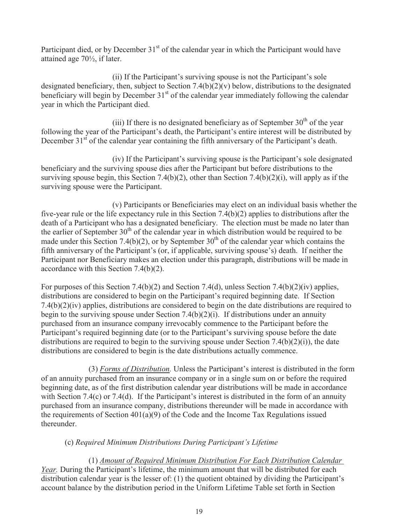Participant died, or by December  $31<sup>st</sup>$  of the calendar year in which the Participant would have attained age 70½, if later.

 (ii) If the Participant's surviving spouse is not the Participant's sole designated beneficiary, then, subject to Section 7.4(b)(2)(v) below, distributions to the designated beneficiary will begin by December  $31<sup>st</sup>$  of the calendar year immediately following the calendar year in which the Participant died.

(iii) If there is no designated beneficiary as of September  $30<sup>th</sup>$  of the year following the year of the Participant's death, the Participant's entire interest will be distributed by December 31<sup>st</sup> of the calendar year containing the fifth anniversary of the Participant's death.

 (iv) If the Participant's surviving spouse is the Participant's sole designated beneficiary and the surviving spouse dies after the Participant but before distributions to the surviving spouse begin, this Section 7.4(b)(2), other than Section 7.4(b)(2)(i), will apply as if the surviving spouse were the Participant.

 (v) Participants or Beneficiaries may elect on an individual basis whether the five-year rule or the life expectancy rule in this Section 7.4(b)(2) applies to distributions after the death of a Participant who has a designated beneficiary. The election must be made no later than the earlier of September  $30<sup>th</sup>$  of the calendar year in which distribution would be required to be made under this Section 7.4(b)(2), or by September  $30<sup>th</sup>$  of the calendar year which contains the fifth anniversary of the Participant's (or, if applicable, surviving spouse's) death. If neither the Participant nor Beneficiary makes an election under this paragraph, distributions will be made in accordance with this Section 7.4(b)(2).

For purposes of this Section 7.4(b)(2) and Section 7.4(d), unless Section 7.4(b)(2)(iv) applies, distributions are considered to begin on the Participant's required beginning date. If Section 7.4(b)(2)(iv) applies, distributions are considered to begin on the date distributions are required to begin to the surviving spouse under Section 7.4(b)(2)(i). If distributions under an annuity purchased from an insurance company irrevocably commence to the Participant before the Participant's required beginning date (or to the Participant's surviving spouse before the date distributions are required to begin to the surviving spouse under Section 7.4(b)(2)(i)), the date distributions are considered to begin is the date distributions actually commence.

 (3) *Forms of Distribution.* Unless the Participant's interest is distributed in the form of an annuity purchased from an insurance company or in a single sum on or before the required beginning date, as of the first distribution calendar year distributions will be made in accordance with Section 7.4(c) or 7.4(d). If the Participant's interest is distributed in the form of an annuity purchased from an insurance company, distributions thereunder will be made in accordance with the requirements of Section  $401(a)(9)$  of the Code and the Income Tax Regulations issued thereunder.

## (c) *Required Minimum Distributions During Participant's Lifetime*

 (1) *Amount of Required Minimum Distribution For Each Distribution Calendar Year.* During the Participant's lifetime, the minimum amount that will be distributed for each distribution calendar year is the lesser of: (1) the quotient obtained by dividing the Participant's account balance by the distribution period in the Uniform Lifetime Table set forth in Section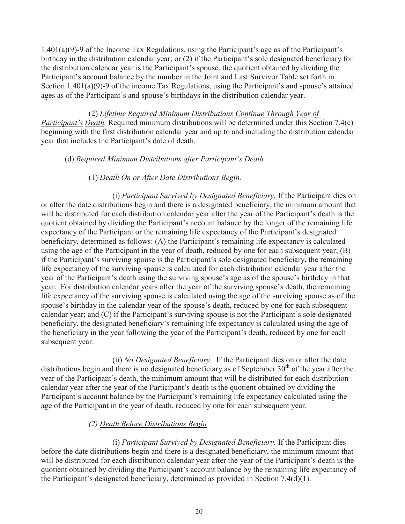1.401(a)(9)-9 of the Income Tax Regulations, using the Participant's age as of the Participant's birthday in the distribution calendar year; or (2) if the Participant's sole designated beneficiary for the distribution calendar year is the Participant's spouse, the quotient obtained by dividing the Participant's account balance by the number in the Joint and Last Survivor Table set forth in Section 1.401(a)(9)-9 of the income Tax Regulations, using the Participant's and spouse's attained ages as of the Participant's and spouse's birthdays in the distribution calendar year.

 (2) *Lifetime Required Minimum Distributions Continue Through Year of Participant's Death.* Required minimum distributions will be determined under this Section 7.4(c) beginning with the first distribution calendar year and up to and including the distribution calendar year that includes the Participant's date of death.

#### (d) *Required Minimum Distributions after Participant's Death*

#### (1) *Death On or After Date Distributions Begin.*

 (i) *Participant Survived by Designated Beneficiary.* If the Participant dies on or after the date distributions begin and there is a designated beneficiary, the minimum amount that will be distributed for each distribution calendar year after the year of the Participant's death is the quotient obtained by dividing the Participant's account balance by the longer of the remaining life expectancy of the Participant or the remaining life expectancy of the Participant's designated beneficiary, determined as follows: (A) the Participant's remaining life expectancy is calculated using the age of the Participant in the year of death, reduced by one for each subsequent year; (B) if the Participant's surviving spouse is the Participant's sole designated beneficiary, the remaining life expectancy of the surviving spouse is calculated for each distribution calendar year after the year of the Participant's death using the surviving spouse's age as of the spouse's birthday in that year. For distribution calendar years after the year of the surviving spouse's death, the remaining life expectancy of the surviving spouse is calculated using the age of the surviving spouse as of the spouse's birthday in the calendar year of the spouse's death, reduced by one for each subsequent calendar year; and (C) if the Participant's surviving spouse is not the Participant's sole designated beneficiary, the designated beneficiary's remaining life expectancy is calculated using the age of the beneficiary in the year following the year of the Participant's death, reduced by one for each subsequent year.

 (ii) *No Designated Beneficiary.* If the Participant dies on or after the date distributions begin and there is no designated beneficiary as of September  $30<sup>th</sup>$  of the year after the year of the Participant's death, the minimum amount that will be distributed for each distribution calendar year after the year of the Participant's death is the quotient obtained by dividing the Participant's account balance by the Participant's remaining life expectancy calculated using the age of the Participant in the year of death, reduced by one for each subsequent year.

#### *(2) Death Before Distributions Begin*

(i) *Participant Survived by Designated Beneficiary.* If the Participant dies before the date distributions begin and there is a designated beneficiary, the minimum amount that will be distributed for each distribution calendar year after the year of the Participant's death is the quotient obtained by dividing the Participant's account balance by the remaining life expectancy of the Participant's designated beneficiary, determined as provided in Section 7.4(d)(1).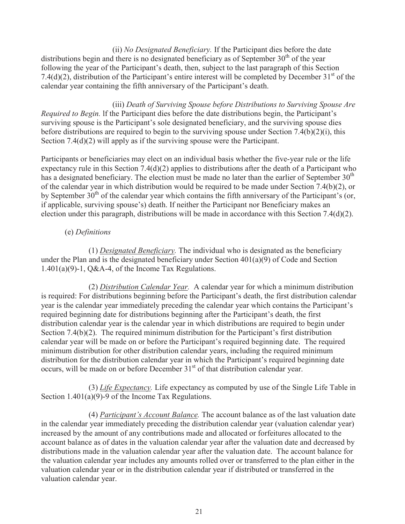(ii) *No Designated Beneficiary.* If the Participant dies before the date distributions begin and there is no designated beneficiary as of September  $30<sup>th</sup>$  of the year following the year of the Participant's death, then, subject to the last paragraph of this Section 7.4(d)(2), distribution of the Participant's entire interest will be completed by December  $31<sup>st</sup>$  of the calendar year containing the fifth anniversary of the Participant's death.

 (iii) *Death of Surviving Spouse before Distributions to Surviving Spouse Are Required to Begin.* lf the Participant dies before the date distributions begin, the Participant's surviving spouse is the Participant's sole designated beneficiary, and the surviving spouse dies before distributions are required to begin to the surviving spouse under Section 7.4(b)(2)(i), this Section 7.4(d)(2) will apply as if the surviving spouse were the Participant.

Participants or beneficiaries may elect on an individual basis whether the five-year rule or the life expectancy rule in this Section 7.4(d)(2) applies to distributions after the death of a Participant who has a designated beneficiary. The election must be made no later than the earlier of September  $30<sup>th</sup>$ of the calendar year in which distribution would be required to be made under Section 7.4(b)(2), or by September  $30<sup>th</sup>$  of the calendar year which contains the fifth anniversary of the Participant's (or, if applicable, surviving spouse's) death. If neither the Participant nor Beneficiary makes an election under this paragraph, distributions will be made in accordance with this Section 7.4(d)(2).

## (e) *Definitions*

 (1) *Designated Beneficiary.* The individual who is designated as the beneficiary under the Plan and is the designated beneficiary under Section 401(a)(9) of Code and Section 1.401(a)(9)-1, Q&A-4, of the Income Tax Regulations.

 (2) *Distribution Calendar Year.* A calendar year for which a minimum distribution is required: For distributions beginning before the Participant's death, the first distribution calendar year is the calendar year immediately preceding the calendar year which contains the Participant's required beginning date for distributions beginning after the Participant's death, the first distribution calendar year is the calendar year in which distributions are required to begin under Section 7.4(b)(2). The required minimum distribution for the Participant's first distribution calendar year will be made on or before the Participant's required beginning date. The required minimum distribution for other distribution calendar years, including the required minimum distribution for the distribution calendar year in which the Participant's required beginning date occurs, will be made on or before December  $31<sup>st</sup>$  of that distribution calendar year.

 (3) *Life Expectancy.* Life expectancy as computed by use of the Single Life Table in Section 1.401(a)(9)-9 of the Income Tax Regulations.

 (4) *Participant's Account Balance.* The account balance as of the last valuation date in the calendar year immediately preceding the distribution calendar year (valuation calendar year) increased by the amount of any contributions made and allocated or forfeitures allocated to the account balance as of dates in the valuation calendar year after the valuation date and decreased by distributions made in the valuation calendar year after the valuation date. The account balance for the valuation calendar year includes any amounts rolled over or transferred to the plan either in the valuation calendar year or in the distribution calendar year if distributed or transferred in the valuation calendar year.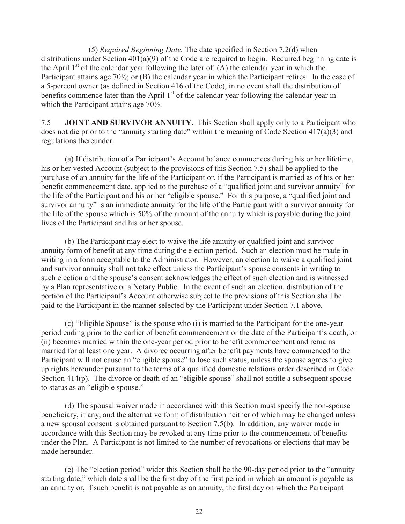(5) *Required Beginning Date.* The date specified in Section 7.2(d) when distributions under Section 401(a)(9) of the Code are required to begin. Required beginning date is the April  $1<sup>st</sup>$  of the calendar year following the later of: (A) the calendar year in which the Participant attains age 70½; or (B) the calendar year in which the Participant retires. In the case of a 5-percent owner (as defined in Section 416 of the Code), in no event shall the distribution of benefits commence later than the April  $1<sup>st</sup>$  of the calendar year following the calendar year in which the Participant attains age 70½.

7.5 **JOINT AND SURVIVOR ANNUITY.** This Section shall apply only to a Participant who does not die prior to the "annuity starting date" within the meaning of Code Section 417(a)(3) and regulations thereunder.

 (a) If distribution of a Participant's Account balance commences during his or her lifetime, his or her vested Account (subject to the provisions of this Section 7.5) shall be applied to the purchase of an annuity for the life of the Participant or, if the Participant is married as of his or her benefit commencement date, applied to the purchase of a "qualified joint and survivor annuity" for the life of the Participant and his or her "eligible spouse." For this purpose, a "qualified joint and survivor annuity" is an immediate annuity for the life of the Participant with a survivor annuity for the life of the spouse which is 50% of the amount of the annuity which is payable during the joint lives of the Participant and his or her spouse.

 (b) The Participant may elect to waive the life annuity or qualified joint and survivor annuity form of benefit at any time during the election period. Such an election must be made in writing in a form acceptable to the Administrator. However, an election to waive a qualified joint and survivor annuity shall not take effect unless the Participant's spouse consents in writing to such election and the spouse's consent acknowledges the effect of such election and is witnessed by a Plan representative or a Notary Public. In the event of such an election, distribution of the portion of the Participant's Account otherwise subject to the provisions of this Section shall be paid to the Participant in the manner selected by the Participant under Section 7.1 above.

 (c) "Eligible Spouse" is the spouse who (i) is married to the Participant for the one-year period ending prior to the earlier of benefit commencement or the date of the Participant's death, or (ii) becomes married within the one-year period prior to benefit commencement and remains married for at least one year. A divorce occurring after benefit payments have commenced to the Participant will not cause an "eligible spouse" to lose such status, unless the spouse agrees to give up rights hereunder pursuant to the terms of a qualified domestic relations order described in Code Section 414(p). The divorce or death of an "eligible spouse" shall not entitle a subsequent spouse to status as an "eligible spouse."

 (d) The spousal waiver made in accordance with this Section must specify the non-spouse beneficiary, if any, and the alternative form of distribution neither of which may be changed unless a new spousal consent is obtained pursuant to Section 7.5(b). In addition, any waiver made in accordance with this Section may be revoked at any time prior to the commencement of benefits under the Plan. A Participant is not limited to the number of revocations or elections that may be made hereunder.

 (e) The "election period" wider this Section shall be the 90-day period prior to the "annuity starting date," which date shall be the first day of the first period in which an amount is payable as an annuity or, if such benefit is not payable as an annuity, the first day on which the Participant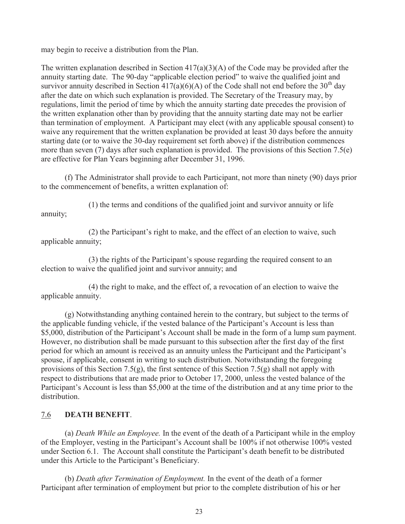may begin to receive a distribution from the Plan.

The written explanation described in Section  $417(a)(3)(A)$  of the Code may be provided after the annuity starting date. The 90-day "applicable election period" to waive the qualified joint and survivor annuity described in Section  $417(a)(6)(A)$  of the Code shall not end before the 30<sup>th</sup> day after the date on which such explanation is provided. The Secretary of the Treasury may, by regulations, limit the period of time by which the annuity starting date precedes the provision of the written explanation other than by providing that the annuity starting date may not be earlier than termination of employment. A Participant may elect (with any applicable spousal consent) to waive any requirement that the written explanation be provided at least 30 days before the annuity starting date (or to waive the 30-day requirement set forth above) if the distribution commences more than seven (7) days after such explanation is provided. The provisions of this Section 7.5(e) are effective for Plan Years beginning after December 31, 1996.

 (f) The Administrator shall provide to each Participant, not more than ninety (90) days prior to the commencement of benefits, a written explanation of:

 (1) the terms and conditions of the qualified joint and survivor annuity or life annuity;

 (2) the Participant's right to make, and the effect of an election to waive, such applicable annuity;

 (3) the rights of the Participant's spouse regarding the required consent to an election to waive the qualified joint and survivor annuity; and

 (4) the right to make, and the effect of, a revocation of an election to waive the applicable annuity.

 (g) Notwithstanding anything contained herein to the contrary, but subject to the terms of the applicable funding vehicle, if the vested balance of the Participant's Account is less than \$5,000, distribution of the Participant's Account shall be made in the form of a lump sum payment. However, no distribution shall be made pursuant to this subsection after the first day of the first period for which an amount is received as an annuity unless the Participant and the Participant's spouse, if applicable, consent in writing to such distribution. Notwithstanding the foregoing provisions of this Section 7.5(g), the first sentence of this Section 7.5(g) shall not apply with respect to distributions that are made prior to October 17, 2000, unless the vested balance of the Participant's Account is less than \$5,000 at the time of the distribution and at any time prior to the distribution.

# 7.6 **DEATH BENEFIT**.

 (a) *Death While an Employee.* In the event of the death of a Participant while in the employ of the Employer, vesting in the Participant's Account shall be 100% if not otherwise 100% vested under Section 6.1. The Account shall constitute the Participant's death benefit to be distributed under this Article to the Participant's Beneficiary.

 (b) *Death after Termination of Employment.* In the event of the death of a former Participant after termination of employment but prior to the complete distribution of his or her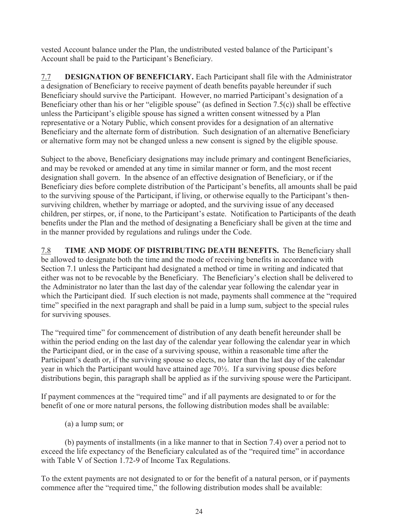vested Account balance under the Plan, the undistributed vested balance of the Participant's Account shall be paid to the Participant's Beneficiary.

7.7 **DESIGNATION OF BENEFICIARY.** Each Participant shall file with the Administrator a designation of Beneficiary to receive payment of death benefits payable hereunder if such Beneficiary should survive the Participant. However, no married Participant's designation of a Beneficiary other than his or her "eligible spouse" (as defined in Section 7.5(c)) shall be effective unless the Participant's eligible spouse has signed a written consent witnessed by a Plan representative or a Notary Public, which consent provides for a designation of an alternative Beneficiary and the alternate form of distribution. Such designation of an alternative Beneficiary or alternative form may not be changed unless a new consent is signed by the eligible spouse.

Subject to the above, Beneficiary designations may include primary and contingent Beneficiaries, and may be revoked or amended at any time in similar manner or form, and the most recent designation shall govern. In the absence of an effective designation of Beneficiary, or if the Beneficiary dies before complete distribution of the Participant's benefits, all amounts shall be paid to the surviving spouse of the Participant, if living, or otherwise equally to the Participant's thensurviving children, whether by marriage or adopted, and the surviving issue of any deceased children, per stirpes, or, if none, to the Participant's estate. Notification to Participants of the death benefits under the Plan and the method of designating a Beneficiary shall be given at the time and in the manner provided by regulations and rulings under the Code.

7.8 **TIME AND MODE OF DISTRIBUTING DEATH BENEFITS.** The Beneficiary shall be allowed to designate both the time and the mode of receiving benefits in accordance with Section 7.1 unless the Participant had designated a method or time in writing and indicated that either was not to be revocable by the Beneficiary. The Beneficiary's election shall be delivered to the Administrator no later than the last day of the calendar year following the calendar year in which the Participant died. If such election is not made, payments shall commence at the "required time" specified in the next paragraph and shall be paid in a lump sum, subject to the special rules for surviving spouses.

The "required time" for commencement of distribution of any death benefit hereunder shall be within the period ending on the last day of the calendar year following the calendar year in which the Participant died, or in the case of a surviving spouse, within a reasonable time after the Participant's death or, if the surviving spouse so elects, no later than the last day of the calendar year in which the Participant would have attained age 70½. If a surviving spouse dies before distributions begin, this paragraph shall be applied as if the surviving spouse were the Participant.

If payment commences at the "required time" and if all payments are designated to or for the benefit of one or more natural persons, the following distribution modes shall be available:

(a) a lump sum; or

 (b) payments of installments (in a like manner to that in Section 7.4) over a period not to exceed the life expectancy of the Beneficiary calculated as of the "required time" in accordance with Table V of Section 1.72-9 of Income Tax Regulations.

To the extent payments are not designated to or for the benefit of a natural person, or if payments commence after the "required time," the following distribution modes shall be available: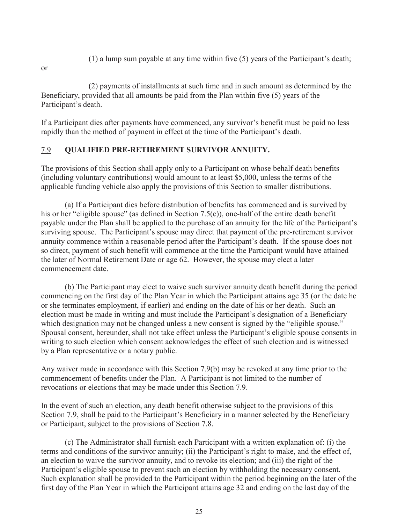- (1) a lump sum payable at any time within five (5) years of the Participant's death;
- or

 (2) payments of installments at such time and in such amount as determined by the Beneficiary, provided that all amounts be paid from the Plan within five (5) years of the Participant's death.

If a Participant dies after payments have commenced, any survivor's benefit must be paid no less rapidly than the method of payment in effect at the time of the Participant's death.

## 7.9 **QUALIFIED PRE-RETIREMENT SURVIVOR ANNUITY.**

The provisions of this Section shall apply only to a Participant on whose behalf death benefits (including voluntary contributions) would amount to at least \$5,000, unless the terms of the applicable funding vehicle also apply the provisions of this Section to smaller distributions.

 (a) If a Participant dies before distribution of benefits has commenced and is survived by his or her "eligible spouse" (as defined in Section 7.5(c)), one-half of the entire death benefit payable under the Plan shall be applied to the purchase of an annuity for the life of the Participant's surviving spouse. The Participant's spouse may direct that payment of the pre-retirement survivor annuity commence within a reasonable period after the Participant's death. If the spouse does not so direct, payment of such benefit will commence at the time the Participant would have attained the later of Normal Retirement Date or age 62. However, the spouse may elect a later commencement date.

 (b) The Participant may elect to waive such survivor annuity death benefit during the period commencing on the first day of the Plan Year in which the Participant attains age 35 (or the date he or she terminates employment, if earlier) and ending on the date of his or her death. Such an election must be made in writing and must include the Participant's designation of a Beneficiary which designation may not be changed unless a new consent is signed by the "eligible spouse." Spousal consent, hereunder, shall not take effect unless the Participant's eligible spouse consents in writing to such election which consent acknowledges the effect of such election and is witnessed by a Plan representative or a notary public.

Any waiver made in accordance with this Section 7.9(b) may be revoked at any time prior to the commencement of benefits under the Plan. A Participant is not limited to the number of revocations or elections that may be made under this Section 7.9.

In the event of such an election, any death benefit otherwise subject to the provisions of this Section 7.9, shall be paid to the Participant's Beneficiary in a manner selected by the Beneficiary or Participant, subject to the provisions of Section 7.8.

 (c) The Administrator shall furnish each Participant with a written explanation of: (i) the terms and conditions of the survivor annuity; (ii) the Participant's right to make, and the effect of, an election to waive the survivor annuity, and to revoke its election; and (iii) the right of the Participant's eligible spouse to prevent such an election by withholding the necessary consent. Such explanation shall be provided to the Participant within the period beginning on the later of the first day of the Plan Year in which the Participant attains age 32 and ending on the last day of the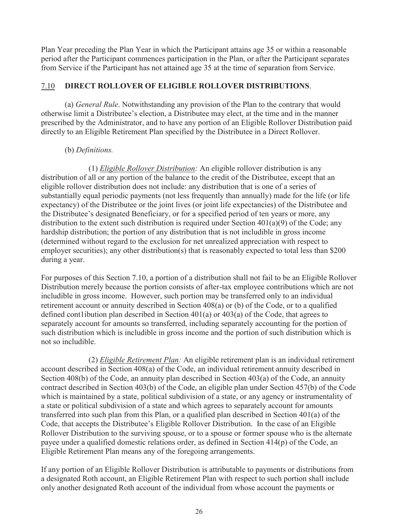Plan Year preceding the Plan Year in which the Participant attains age 35 or within a reasonable period after the Participant commences participation in the Plan, or after the Participant separates from Service if the Participant has not attained age 35 at the time of separation from Service.

## 7.10 **DIRECT ROLLOVER OF ELIGIBLE ROLLOVER DISTRIBUTIONS**.

 (a) *General Rule*. Notwithstanding any provision of the Plan to the contrary that would otherwise limit a Distributee's election, a Distributee may elect, at the time and in the manner prescribed by the Administrator, and to have any portion of an Eligible Rollover Distribution paid directly to an Eligible Retirement Plan specified by the Distributee in a Direct Rollover.

#### (b) *Definitions.*

 (1) *Eligible Rollover Distribution:* An eligible rollover distribution is any distribution of all or any portion of the balance to the credit of the Distributee, except that an eligible rollover distribution does not include: any distribution that is one of a series of substantially equal periodic payments (not less frequently than annually) made for the life (or life expectancy) of the Distributee or the joint lives (or joint life expectancies) of the Distributee and the Distributee's designated Beneficiary, or for a specified period of ten years or more, any distribution to the extent such distribution is required under Section 401(a)(9) of the Code; any hardship distribution; the portion of any distribution that is not includible in gross income (determined without regard to the exclusion for net unrealized appreciation with respect to employer securities); any other distribution(s) that is reasonably expected to total less than \$200 during a year.

For purposes of this Section 7.10, a portion of a distribution shall not fail to be an Eligible Rollover Distribution merely because the portion consists of after-tax employee contributions which are not includible in gross income. However, such portion may be transferred only to an individual retirement account or annuity described in Section 408(a) or (b) of the Code, or to a qualified defined cont1ibution plan described in Section  $401(a)$  or  $403(a)$  of the Code, that agrees to separately account for amounts so transferred, including separately accounting for the portion of such distribution which is includible in gross income and the portion of such distribution which is not so includible.

 (2) *Eligible Retirement Plan:* An eligible retirement plan is an individual retirement account described in Section 408(a) of the Code, an individual retirement annuity described in Section 408(b) of the Code, an annuity plan described in Section 403(a) of the Code, an annuity contract described in Section 403(b) of the Code, an eligible plan under Section 457(b) of the Code which is maintained by a state, political subdivision of a state, or any agency or instrumentality of a state or political subdivision of a state and which agrees to separately account for amounts transferred into such plan from this Plan, or a qualified plan described in Section 401(a) of the Code, that accepts the Distributee's Eligible Rollover Distribution. In the case of an Eligible Rollover Distribution to the surviving spouse, or to a spouse or former spouse who is the alternate payee under a qualified domestic relations order, as defined in Section 414(p) of the Code, an Eligible Retirement Plan means any of the foregoing arrangements.

If any portion of an Eligible Rollover Distribution is attributable to payments or distributions from a designated Roth account, an Eligible Retirement Plan with respect to such portion shall include only another designated Roth account of the individual from whose account the payments or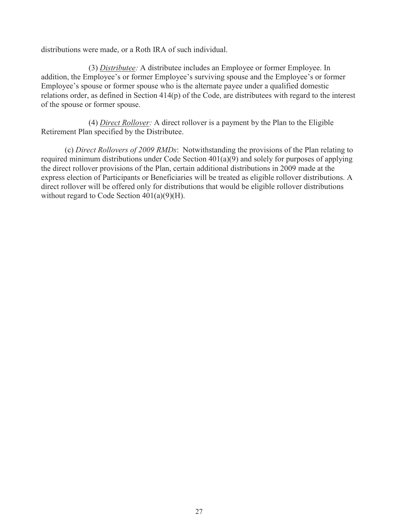distributions were made, or a Roth IRA of such individual.

 (3) *Distributee:* A distributee includes an Employee or former Employee. In addition, the Employee's or former Employee's surviving spouse and the Employee's or former Employee's spouse or former spouse who is the alternate payee under a qualified domestic relations order, as defined in Section 414(p) of the Code, are distributees with regard to the interest of the spouse or former spouse.

 (4) *Direct Rollover:* A direct rollover is a payment by the Plan to the Eligible Retirement Plan specified by the Distributee.

 (c) *Direct Rollovers of 2009 RMDs*: Notwithstanding the provisions of the Plan relating to required minimum distributions under Code Section 401(a)(9) and solely for purposes of applying the direct rollover provisions of the Plan, certain additional distributions in 2009 made at the express election of Participants or Beneficiaries will be treated as eligible rollover distributions. A direct rollover will be offered only for distributions that would be eligible rollover distributions without regard to Code Section 401(a)(9)(H).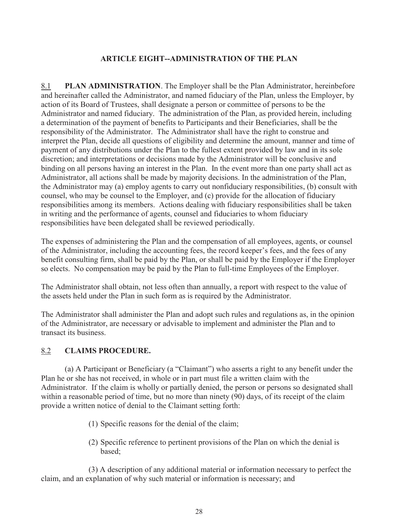## **ARTICLE EIGHT--ADMINISTRATION OF THE PLAN**

8.1 **PLAN ADMINISTRATION**. The Employer shall be the Plan Administrator, hereinbefore and hereinafter called the Administrator, and named fiduciary of the Plan, unless the Employer, by action of its Board of Trustees, shall designate a person or committee of persons to be the Administrator and named fiduciary. The administration of the Plan, as provided herein, including a determination of the payment of benefits to Participants and their Beneficiaries, shall be the responsibility of the Administrator. The Administrator shall have the right to construe and interpret the Plan, decide all questions of eligibility and determine the amount, manner and time of payment of any distributions under the Plan to the fullest extent provided by law and in its sole discretion; and interpretations or decisions made by the Administrator will be conclusive and binding on all persons having an interest in the Plan. In the event more than one party shall act as Administrator, all actions shall be made by majority decisions. In the administration of the Plan, the Administrator may (a) employ agents to carry out nonfiduciary responsibilities, (b) consult with counsel, who may be counsel to the Employer, and (c) provide for the allocation of fiduciary responsibilities among its members. Actions dealing with fiduciary responsibilities shall be taken in writing and the performance of agents, counsel and fiduciaries to whom fiduciary responsibilities have been delegated shall be reviewed periodically.

The expenses of administering the Plan and the compensation of all employees, agents, or counsel of the Administrator, including the accounting fees, the record keeper's fees, and the fees of any benefit consulting firm, shall be paid by the Plan, or shall be paid by the Employer if the Employer so elects. No compensation may be paid by the Plan to full-time Employees of the Employer.

The Administrator shall obtain, not less often than annually, a report with respect to the value of the assets held under the Plan in such form as is required by the Administrator.

The Administrator shall administer the Plan and adopt such rules and regulations as, in the opinion of the Administrator, are necessary or advisable to implement and administer the Plan and to transact its business.

## 8.2 **CLAIMS PROCEDURE.**

 (a) A Participant or Beneficiary (a "Claimant") who asserts a right to any benefit under the Plan he or she has not received, in whole or in part must file a written claim with the Administrator. If the claim is wholly or partially denied, the person or persons so designated shall within a reasonable period of time, but no more than ninety (90) days, of its receipt of the claim provide a written notice of denial to the Claimant setting forth:

- (1) Specific reasons for the denial of the claim;
- (2) Specific reference to pertinent provisions of the Plan on which the denial is based;

 (3) A description of any additional material or information necessary to perfect the claim, and an explanation of why such material or information is necessary; and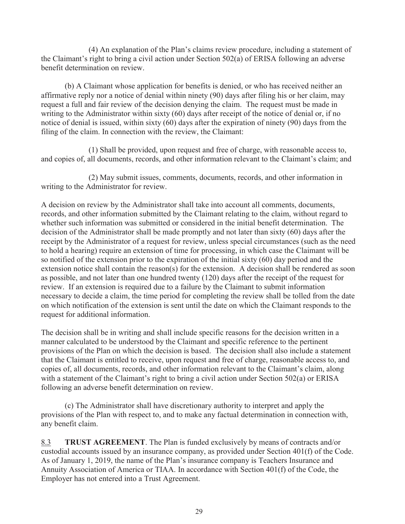(4) An explanation of the Plan's claims review procedure, including a statement of the Claimant's right to bring a civil action under Section 502(a) of ERISA following an adverse benefit determination on review.

 (b) A Claimant whose application for benefits is denied, or who has received neither an affirmative reply nor a notice of denial within ninety (90) days after filing his or her claim, may request a full and fair review of the decision denying the claim. The request must be made in writing to the Administrator within sixty (60) days after receipt of the notice of denial or, if no notice of denial is issued, within sixty (60) days after the expiration of ninety (90) days from the filing of the claim. In connection with the review, the Claimant:

 (1) Shall be provided, upon request and free of charge, with reasonable access to, and copies of, all documents, records, and other information relevant to the Claimant's claim; and

 (2) May submit issues, comments, documents, records, and other information in writing to the Administrator for review.

A decision on review by the Administrator shall take into account all comments, documents, records, and other information submitted by the Claimant relating to the claim, without regard to whether such information was submitted or considered in the initial benefit determination. The decision of the Administrator shall be made promptly and not later than sixty (60) days after the receipt by the Administrator of a request for review, unless special circumstances (such as the need to hold a hearing) require an extension of time for processing, in which case the Claimant will be so notified of the extension prior to the expiration of the initial sixty (60) day period and the extension notice shall contain the reason(s) for the extension. A decision shall be rendered as soon as possible, and not later than one hundred twenty (120) days after the receipt of the request for review. If an extension is required due to a failure by the Claimant to submit information necessary to decide a claim, the time period for completing the review shall be tolled from the date on which notification of the extension is sent until the date on which the Claimant responds to the request for additional information.

The decision shall be in writing and shall include specific reasons for the decision written in a manner calculated to be understood by the Claimant and specific reference to the pertinent provisions of the Plan on which the decision is based. The decision shall also include a statement that the Claimant is entitled to receive, upon request and free of charge, reasonable access to, and copies of, all documents, records, and other information relevant to the Claimant's claim, along with a statement of the Claimant's right to bring a civil action under Section 502(a) or ERISA following an adverse benefit determination on review.

 (c) The Administrator shall have discretionary authority to interpret and apply the provisions of the Plan with respect to, and to make any factual determination in connection with, any benefit claim.

8.3 **TRUST AGREEMENT**. The Plan is funded exclusively by means of contracts and/or custodial accounts issued by an insurance company, as provided under Section 401(f) of the Code. As of January 1, 2019, the name of the Plan's insurance company is Teachers Insurance and Annuity Association of America or TIAA. In accordance with Section 401(f) of the Code, the Employer has not entered into a Trust Agreement.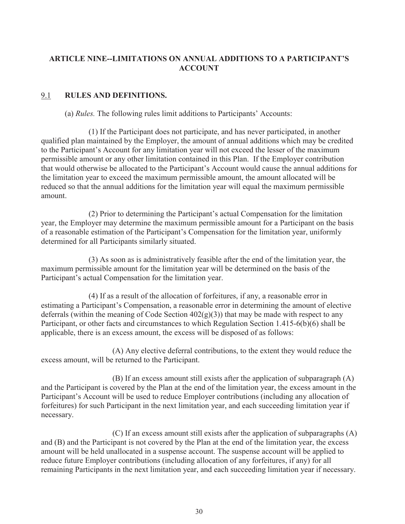## **ARTICLE NINE--LIMITATIONS ON ANNUAL ADDITIONS TO A PARTICIPANT'S ACCOUNT**

# 9.1 **RULES AND DEFINITIONS.**

(a) *Rules.* The following rules limit additions to Participants' Accounts:

 (1) If the Participant does not participate, and has never participated, in another qualified plan maintained by the Employer, the amount of annual additions which may be credited to the Participant's Account for any limitation year will not exceed the lesser of the maximum permissible amount or any other limitation contained in this Plan. If the Employer contribution that would otherwise be allocated to the Participant's Account would cause the annual additions for the limitation year to exceed the maximum permissible amount, the amount allocated will be reduced so that the annual additions for the limitation year will equal the maximum permissible amount.

 (2) Prior to determining the Participant's actual Compensation for the limitation year, the Employer may determine the maximum permissible amount for a Participant on the basis of a reasonable estimation of the Participant's Compensation for the limitation year, uniformly determined for all Participants similarly situated.

 (3) As soon as is administratively feasible after the end of the limitation year, the maximum permissible amount for the limitation year will be determined on the basis of the Participant's actual Compensation for the limitation year.

 (4) If as a result of the allocation of forfeitures, if any, a reasonable error in estimating a Participant's Compensation, a reasonable error in determining the amount of elective deferrals (within the meaning of Code Section  $402(g)(3)$ ) that may be made with respect to any Participant, or other facts and circumstances to which Regulation Section 1.415-6(b)(6) shall be applicable, there is an excess amount, the excess will be disposed of as follows:

 (A) Any elective deferral contributions, to the extent they would reduce the excess amount, will be returned to the Participant.

 (B) If an excess amount still exists after the application of subparagraph (A) and the Participant is covered by the Plan at the end of the limitation year, the excess amount in the Participant's Account will be used to reduce Employer contributions (including any allocation of forfeitures) for such Participant in the next limitation year, and each succeeding limitation year if necessary.

 (C) If an excess amount still exists after the application of subparagraphs (A) and (B) and the Participant is not covered by the Plan at the end of the limitation year, the excess amount will be held unallocated in a suspense account. The suspense account will be applied to reduce future Employer contributions (including allocation of any forfeitures, if any) for all remaining Participants in the next limitation year, and each succeeding limitation year if necessary.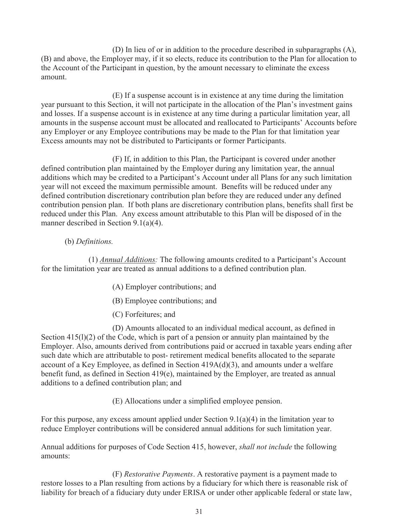(D) In lieu of or in addition to the procedure described in subparagraphs (A), (B) and above, the Employer may, if it so elects, reduce its contribution to the Plan for allocation to the Account of the Participant in question, by the amount necessary to eliminate the excess amount.

 (E) If a suspense account is in existence at any time during the limitation year pursuant to this Section, it will not participate in the allocation of the Plan's investment gains and losses. If a suspense account is in existence at any time during a particular limitation year, all amounts in the suspense account must be allocated and reallocated to Participants' Accounts before any Employer or any Employee contributions may be made to the Plan for that limitation year Excess amounts may not be distributed to Participants or former Participants.

 (F) If, in addition to this Plan, the Participant is covered under another defined contribution plan maintained by the Employer during any limitation year, the annual additions which may be credited to a Participant's Account under all Plans for any such limitation year will not exceed the maximum permissible amount. Benefits will be reduced under any defined contribution discretionary contribution plan before they are reduced under any defined contribution pension plan. If both plans are discretionary contribution plans, benefits shall first be reduced under this Plan. Any excess amount attributable to this Plan will be disposed of in the manner described in Section 9.1(a)(4).

#### (b) *Definitions.*

 (1) *Annual Additions:* The following amounts credited to a Participant's Account for the limitation year are treated as annual additions to a defined contribution plan.

- (A) Employer contributions; and
- (B) Employee contributions; and
- (C) Forfeitures; and

 (D) Amounts allocated to an individual medical account, as defined in Section 415(1)(2) of the Code, which is part of a pension or annuity plan maintained by the Employer. Also, amounts derived from contributions paid or accrued in taxable years ending after such date which are attributable to post- retirement medical benefits allocated to the separate account of a Key Employee, as defined in Section 419A(d)(3), and amounts under a welfare benefit fund, as defined in Section 419(e), maintained by the Employer, are treated as annual additions to a defined contribution plan; and

(E) Allocations under a simplified employee pension.

For this purpose, any excess amount applied under Section 9.1(a)(4) in the limitation year to reduce Employer contributions will be considered annual additions for such limitation year.

Annual additions for purposes of Code Section 415, however, *shall not include* the following amounts:

 (F) *Restorative Payments*. A restorative payment is a payment made to restore losses to a Plan resulting from actions by a fiduciary for which there is reasonable risk of liability for breach of a fiduciary duty under ERISA or under other applicable federal or state law,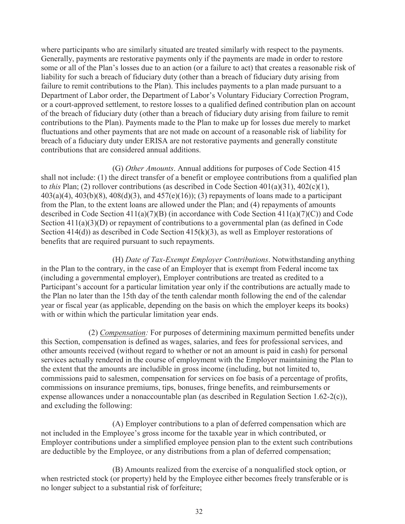where participants who are similarly situated are treated similarly with respect to the payments. Generally, payments are restorative payments only if the payments are made in order to restore some or all of the Plan's losses due to an action (or a failure to act) that creates a reasonable risk of liability for such a breach of fiduciary duty (other than a breach of fiduciary duty arising from failure to remit contributions to the Plan). This includes payments to a plan made pursuant to a Department of Labor order, the Department of Labor's Voluntary Fiduciary Correction Program, or a court-approved settlement, to restore losses to a qualified defined contribution plan on account of the breach of fiduciary duty (other than a breach of fiduciary duty arising from failure to remit contributions to the Plan). Payments made to the Plan to make up for losses due merely to market fluctuations and other payments that are not made on account of a reasonable risk of liability for breach of a fiduciary duty under ERISA are not restorative payments and generally constitute contributions that are considered annual additions.

 (G) *Other Amounts*. Annual additions for purposes of Code Section 415 shall not include: (1) the direct transfer of a benefit or employee contributions from a qualified plan to *this* Plan; (2) rollover contributions (as described in Code Section 401(a)(31), 402(c)(1),  $403(a)(4)$ ,  $403(b)(8)$ ,  $408(d)(3)$ , and  $457(e)(16)$ ; (3) repayments of loans made to a participant from the Plan, to the extent loans are allowed under the Plan; and (4) repayments of amounts described in Code Section  $411(a)(7)(B)$  (in accordance with Code Section  $411(a)(7)(C)$ ) and Code Section  $411(a)(3)(D)$  or repayment of contributions to a governmental plan (as defined in Code Section 414(d)) as described in Code Section 415(k)(3), as well as Employer restorations of benefits that are required pursuant to such repayments.

 (H) *Date of Tax-Exempt Employer Contributions*. Notwithstanding anything in the Plan to the contrary, in the case of an Employer that is exempt from Federal income tax (including a governmental employer), Employer contributions are treated as credited to a Participant's account for a particular limitation year only if the contributions are actually made to the Plan no later than the 15th day of the tenth calendar month following the end of the calendar year or fiscal year (as applicable, depending on the basis on which the employer keeps its books) with or within which the particular limitation year ends.

(2) *Compensation:* For purposes of determining maximum permitted benefits under this Section, compensation is defined as wages, salaries, and fees for professional services, and other amounts received (without regard to whether or not an amount is paid in cash) for personal services actually rendered in the course of employment with the Employer maintaining the Plan to the extent that the amounts are includible in gross income (including, but not limited to, commissions paid to salesmen, compensation for services on foe basis of a percentage of profits, commissions on insurance premiums, tips, bonuses, fringe benefits, and reimbursements or expense allowances under a nonaccountable plan (as described in Regulation Section 1.62-2(c)), and excluding the following:

 (A) Employer contributions to a plan of deferred compensation which are not included in the Employee's gross income for the taxable year in which contributed, or Employer contributions under a simplified employee pension plan to the extent such contributions are deductible by the Employee, or any distributions from a plan of deferred compensation;

 (B) Amounts realized from the exercise of a nonqualified stock option, or when restricted stock (or property) held by the Employee either becomes freely transferable or is no longer subject to a substantial risk of forfeiture;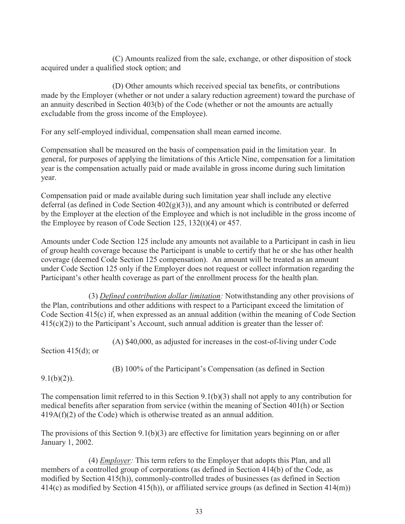(C) Amounts realized from the sale, exchange, or other disposition of stock acquired under a qualified stock option; and

 (D) Other amounts which received special tax benefits, or contributions made by the Employer (whether or not under a salary reduction agreement) toward the purchase of an annuity described in Section 403(b) of the Code (whether or not the amounts are actually excludable from the gross income of the Employee).

For any self-employed individual, compensation shall mean earned income.

Compensation shall be measured on the basis of compensation paid in the limitation year. In general, for purposes of applying the limitations of this Article Nine, compensation for a limitation year is the compensation actually paid or made available in gross income during such limitation year.

Compensation paid or made available during such limitation year shall include any elective deferral (as defined in Code Section  $402(g)(3)$ ), and any amount which is contributed or deferred by the Employer at the election of the Employee and which is not includible in the gross income of the Employee by reason of Code Section 125, 132(t)(4) or 457.

Amounts under Code Section 125 include any amounts not available to a Participant in cash in lieu of group health coverage because the Participant is unable to certify that he or she has other health coverage (deemed Code Section 125 compensation). An amount will be treated as an amount under Code Section 125 only if the Employer does not request or collect information regarding the Participant's other health coverage as part of the enrollment process for the health plan.

(3) *Defined contribution dollar limitation:* Notwithstanding any other provisions of the Plan, contributions and other additions with respect to a Participant exceed the limitation of Code Section 415(c) if, when expressed as an annual addition (within the meaning of Code Section  $415(c)(2)$ ) to the Participant's Account, such annual addition is greater than the lesser of:

(A) \$40,000, as adjusted for increases in the cost-of-living under Code

Section 415(d); or

(B) 100% of the Participant's Compensation (as defined in Section

 $9.1(b)(2)$ ).

The compensation limit referred to in this Section 9.1(b)(3) shall not apply to any contribution for medical benefits after separation from service (within the meaning of Section 401(h) or Section  $419A(f)(2)$  of the Code) which is otherwise treated as an annual addition.

The provisions of this Section 9.1(b)(3) are effective for limitation years beginning on or after January 1, 2002.

 (4) *Employer:* This term refers to the Employer that adopts this Plan, and all members of a controlled group of corporations (as defined in Section 414(b) of the Code, as modified by Section 415(h)), commonly-controlled trades of businesses (as defined in Section 414(c) as modified by Section 415(h)), or affiliated service groups (as defined in Section 414(m))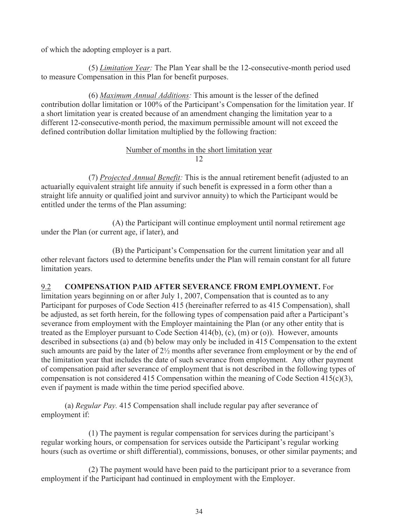of which the adopting employer is a part.

(5) *Limitation Year:* The Plan Year shall be the 12-consecutive-month period used to measure Compensation in this Plan for benefit purposes.

(6) *Maximum Annual Additions:* This amount is the lesser of the defined contribution dollar limitation or 100% of the Participant's Compensation for the limitation year. If a short limitation year is created because of an amendment changing the limitation year to a different 12-consecutive-month period, the maximum permissible amount will not exceed the defined contribution dollar limitation multiplied by the following fraction:

#### Number of months in the short limitation year 12

 (7) *Projected Annual Benefit:* This is the annual retirement benefit (adjusted to an actuarially equivalent straight life annuity if such benefit is expressed in a form other than a straight life annuity or qualified joint and survivor annuity) to which the Participant would be entitled under the terms of the Plan assuming:

 (A) the Participant will continue employment until normal retirement age under the Plan (or current age, if later), and

 (B) the Participant's Compensation for the current limitation year and all other relevant factors used to determine benefits under the Plan will remain constant for all future limitation years.

9.2 **COMPENSATION PAID AFTER SEVERANCE FROM EMPLOYMENT.** For limitation years beginning on or after July 1, 2007, Compensation that is counted as to any Participant for purposes of Code Section 415 (hereinafter referred to as 415 Compensation), shall be adjusted, as set forth herein, for the following types of compensation paid after a Participant's severance from employment with the Employer maintaining the Plan (or any other entity that is treated as the Employer pursuant to Code Section 414(b), (c), (m) or (o)). However, amounts described in subsections (a) and (b) below may only be included in 415 Compensation to the extent such amounts are paid by the later of 2½ months after severance from employment or by the end of the limitation year that includes the date of such severance from employment. Any other payment of compensation paid after severance of employment that is not described in the following types of compensation is not considered 415 Compensation within the meaning of Code Section 415(c)(3), even if payment is made within the time period specified above.

(a) *Regular Pay.* 415 Compensation shall include regular pay after severance of employment if:

 (1) The payment is regular compensation for services during the participant's regular working hours, or compensation for services outside the Participant's regular working hours (such as overtime or shift differential), commissions, bonuses, or other similar payments; and

 (2) The payment would have been paid to the participant prior to a severance from employment if the Participant had continued in employment with the Employer.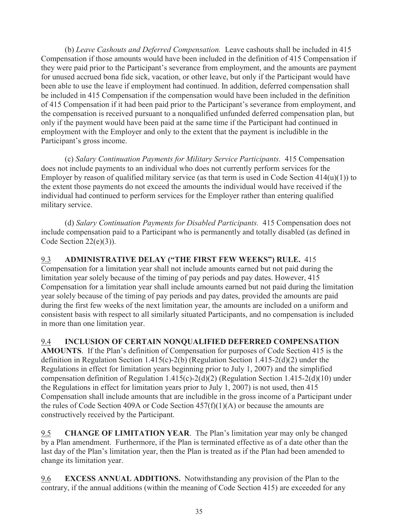(b) *Leave Cashouts and Deferred Compensation.* Leave cashouts shall be included in 415 Compensation if those amounts would have been included in the definition of 415 Compensation if they were paid prior to the Participant's severance from employment, and the amounts are payment for unused accrued bona fide sick, vacation, or other leave, but only if the Participant would have been able to use the leave if employment had continued. In addition, deferred compensation shall be included in 415 Compensation if the compensation would have been included in the definition of 415 Compensation if it had been paid prior to the Participant's severance from employment, and the compensation is received pursuant to a nonqualified unfunded deferred compensation plan, but only if the payment would have been paid at the same time if the Participant had continued in employment with the Employer and only to the extent that the payment is includible in the Participant's gross income.

(c) *Salary Continuation Payments for Military Service Participants.* 415 Compensation does not include payments to an individual who does not currently perform services for the Employer by reason of qualified military service (as that term is used in Code Section 414(u)(1)) to the extent those payments do not exceed the amounts the individual would have received if the individual had continued to perform services for the Employer rather than entering qualified military service.

(d) *Salary Continuation Payments for Disabled Participants.* 415 Compensation does not include compensation paid to a Participant who is permanently and totally disabled (as defined in Code Section 22(e)(3)).

#### 9.3 **ADMINISTRATIVE DELAY ("THE FIRST FEW WEEKS") RULE.** 415 Compensation for a limitation year shall not include amounts earned but not paid during the limitation year solely because of the timing of pay periods and pay dates. However, 415 Compensation for a limitation year shall include amounts earned but not paid during the limitation year solely because of the timing of pay periods and pay dates, provided the amounts are paid during the first few weeks of the next limitation year, the amounts are included on a uniform and consistent basis with respect to all similarly situated Participants, and no compensation is included in more than one limitation year.

9.4 **INCLUSION OF CERTAIN NONQUALIFIED DEFERRED COMPENSATION** 

**AMOUNTS**. If the Plan's definition of Compensation for purposes of Code Section 415 is the definition in Regulation Section 1.415(c)-2(b) (Regulation Section 1.415-2(d)(2) under the Regulations in effect for limitation years beginning prior to July 1, 2007) and the simplified compensation definition of Regulation 1.415(c)-2(d)(2) (Regulation Section 1.415-2(d)(10) under the Regulations in effect for limitation years prior to July 1, 2007) is not used, then 415 Compensation shall include amounts that are includible in the gross income of a Participant under the rules of Code Section 409A or Code Section 457(f)(1)(A) or because the amounts are constructively received by the Participant.

9.5 **CHANGE OF LIMITATION YEAR**. The Plan's limitation year may only be changed by a Plan amendment. Furthermore, if the Plan is terminated effective as of a date other than the last day of the Plan's limitation year, then the Plan is treated as if the Plan had been amended to change its limitation year.

9.6 **EXCESS ANNUAL ADDITIONS.** Notwithstanding any provision of the Plan to the contrary, if the annual additions (within the meaning of Code Section 415) are exceeded for any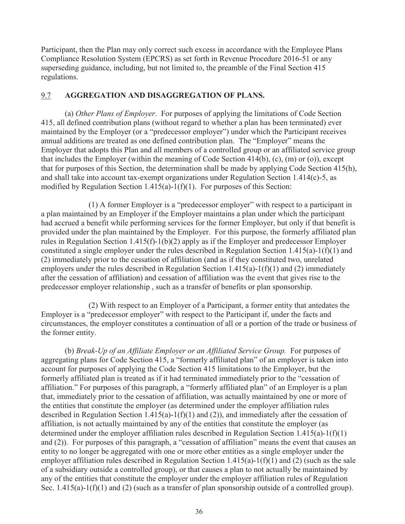Participant, then the Plan may only correct such excess in accordance with the Employee Plans Compliance Resolution System (EPCRS) as set forth in Revenue Procedure 2016-51 or any superseding guidance, including, but not limited to, the preamble of the Final Section 415 regulations.

## 9.7 **AGGREGATION AND DISAGGREGATION OF PLANS.**

 (a) *Other Plans of Employer*. For purposes of applying the limitations of Code Section 415, all defined contribution plans (without regard to whether a plan has been terminated) ever maintained by the Employer (or a "predecessor employer") under which the Participant receives annual additions are treated as one defined contribution plan. The "Employer" means the Employer that adopts this Plan and all members of a controlled group or an affiliated service group that includes the Employer (within the meaning of Code Section 414(b), (c), (m) or (o)), except that for purposes of this Section, the determination shall be made by applying Code Section 415(h), and shall take into account tax-exempt organizations under Regulation Section 1.414(c)-5, as modified by Regulation Section  $1.415(a)-1(f)(1)$ . For purposes of this Section:

 (1) A former Employer is a "predecessor employer" with respect to a participant in a plan maintained by an Employer if the Employer maintains a plan under which the participant had accrued a benefit while performing services for the former Employer, but only if that benefit is provided under the plan maintained by the Employer. For this purpose, the formerly affiliated plan rules in Regulation Section 1.415(f)-1(b)(2) apply as if the Employer and predecessor Employer constituted a single employer under the rules described in Regulation Section 1.415(a)-1(f)(1) and (2) immediately prior to the cessation of affiliation (and as if they constituted two, unrelated employers under the rules described in Regulation Section 1.415(a)-1(f)(1) and (2) immediately after the cessation of affiliation) and cessation of affiliation was the event that gives rise to the predecessor employer relationship , such as a transfer of benefits or plan sponsorship.

 (2) With respect to an Employer of a Participant, a former entity that antedates the Employer is a "predecessor employer" with respect to the Participant if, under the facts and circumstances, the employer constitutes a continuation of all or a portion of the trade or business of the former entity.

(b) *Break-Up of an Affiliate Employer or an Affiliated Service Group.* For purposes of aggregating plans for Code Section 415, a "formerly affiliated plan" of an employer is taken into account for purposes of applying the Code Section 415 limitations to the Employer, but the formerly affiliated plan is treated as if it had terminated immediately prior to the "cessation of affiliation." For purposes of this paragraph, a "formerly affiliated plan" of an Employer is a plan that, immediately prior to the cessation of affiliation, was actually maintained by one or more of the entities that constitute the employer (as determined under the employer affiliation rules described in Regulation Section 1.415(a)-1(f)(1) and (2)), and immediately after the cessation of affiliation, is not actually maintained by any of the entities that constitute the employer (as determined under the employer affiliation rules described in Regulation Section 1.415(a)-1(f)(1) and (2)). For purposes of this paragraph, a "cessation of affiliation" means the event that causes an entity to no longer be aggregated with one or more other entities as a single employer under the employer affiliation rules described in Regulation Section 1.415(a)-1(f)(1) and (2) (such as the sale of a subsidiary outside a controlled group), or that causes a plan to not actually be maintained by any of the entities that constitute the employer under the employer affiliation rules of Regulation Sec. 1.415(a)-1(f)(1) and (2) (such as a transfer of plan sponsorship outside of a controlled group).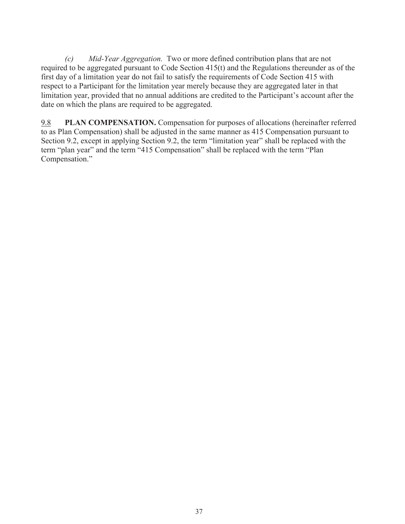*(c) Mid-Year Aggregation.* Two or more defined contribution plans that are not required to be aggregated pursuant to Code Section 415(t) and the Regulations thereunder as of the first day of a limitation year do not fail to satisfy the requirements of Code Section 415 with respect to a Participant for the limitation year merely because they are aggregated later in that limitation year, provided that no annual additions are credited to the Participant's account after the date on which the plans are required to be aggregated.

9.8 **PLAN COMPENSATION.** Compensation for purposes of allocations (hereinafter referred to as Plan Compensation) shall be adjusted in the same manner as 415 Compensation pursuant to Section 9.2, except in applying Section 9.2, the term "limitation year" shall be replaced with the term "plan year" and the term "415 Compensation" shall be replaced with the term "Plan Compensation."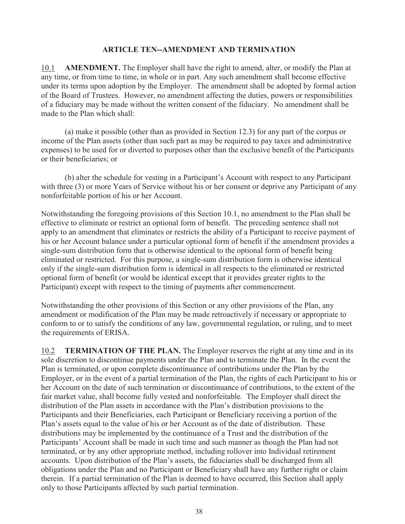#### **ARTICLE TEN--AMENDMENT AND TERMINATION**

10.1 **AMENDMENT.** The Employer shall have the right to amend, alter, or modify the Plan at any time, or from time to time, in whole or in part. Any such amendment shall become effective under its terms upon adoption by the Employer. The amendment shall be adopted by formal action of the Board of Trustees. However, no amendment affecting the duties, powers or responsibilities of a fiduciary may be made without the written consent of the fiduciary. No amendment shall be made to the Plan which shall:

 (a) make it possible (other than as provided in Section 12.3) for any part of the corpus or income of the Plan assets (other than such part as may be required to pay taxes and administrative expenses) to be used for or diverted to purposes other than the exclusive benefit of the Participants or their beneficiaries; or

 (b) alter the schedule for vesting in a Participant's Account with respect to any Participant with three (3) or more Years of Service without his or her consent or deprive any Participant of any nonforfeitable portion of his or her Account.

Notwithstanding the foregoing provisions of this Section 10.1, no amendment to the Plan shall be effective to eliminate or restrict an optional form of benefit. The preceding sentence shall not apply to an amendment that eliminates or restricts the ability of a Participant to receive payment of his or her Account balance under a particular optional form of benefit if the amendment provides a single-sum distribution form that is otherwise identical to the optional form of benefit being eliminated or restricted. For this purpose, a single-sum distribution form is otherwise identical only if the single-sum distribution form is identical in all respects to the eliminated or restricted optional form of benefit (or would be identical except that it provides greater rights to the Participant) except with respect to the timing of payments after commencement.

Notwithstanding the other provisions of this Section or any other provisions of the Plan, any amendment or modification of the Plan may be made retroactively if necessary or appropriate to conform to or to satisfy the conditions of any law, governmental regulation, or ruling, and to meet the requirements of ERISA.

10.2 **TERMINATION OF THE PLAN.** The Employer reserves the right at any time and in its sole discretion to discontinue payments under the Plan and to terminate the Plan. In the event the Plan is terminated, or upon complete discontinuance of contributions under the Plan by the Employer, or in the event of a partial termination of the Plan, the rights of each Participant to his or her Account on the date of such termination or discontinuance of contributions, to the extent of the fair market value, shall become fully vested and nonforfeitable. The Employer shall direct the distribution of the Plan assets in accordance with the Plan's distribution provisions to the Participants and their Beneficiaries, each Participant or Beneficiary receiving a portion of the Plan's assets equal to the value of his or her Account as of the date of distribution. These distributions may be implemented by the continuance of a Trust and the distribution of the Participants' Account shall be made in such time and such manner as though the Plan had not terminated, or by any other appropriate method, including rollover into Individual retirement accounts. Upon distribution of the Plan's assets, the fiduciaries shall be discharged from all obligations under the Plan and no Participant or Beneficiary shall have any further right or claim therein. If a partial termination of the Plan is deemed to have occurred, this Section shall apply only to those Participants affected by such partial termination.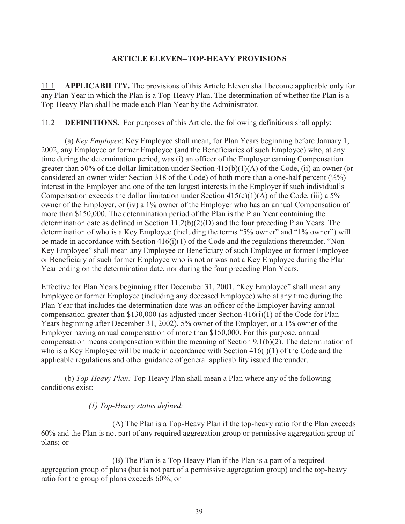#### **ARTICLE ELEVEN--TOP-HEAVY PROVISIONS**

11.1 **APPLICABILITY.** The provisions of this Article Eleven shall become applicable only for any Plan Year in which the Plan is a Top-Heavy Plan. The determination of whether the Plan is a Top-Heavy Plan shall be made each Plan Year by the Administrator.

11.2 **DEFINITIONS.** For purposes of this Article, the following definitions shall apply:

 (a) *Key Employee*: Key Employee shall mean, for Plan Years beginning before January 1, 2002, any Employee or former Employee (and the Beneficiaries of such Employee) who, at any time during the determination period, was (i) an officer of the Employer earning Compensation greater than 50% of the dollar limitation under Section  $415(b)(1)(A)$  of the Code, (ii) an owner (or considered an owner wider Section 318 of the Code) of both more than a one-half percent  $(\frac{1}{2}\%)$ interest in the Employer and one of the ten largest interests in the Employer if such individual's Compensation exceeds the dollar limitation under Section  $415(c)(1)(A)$  of the Code, (iii) a 5% owner of the Employer, or (iv) a 1% owner of the Employer who has an annual Compensation of more than \$150,000. The determination period of the Plan is the Plan Year containing the determination date as defined in Section 11.2(b)(2)(D) and the four preceding Plan Years. The determination of who is a Key Employee (including the terms "5% owner" and "1% owner") will be made in accordance with Section  $416(i)(1)$  of the Code and the regulations thereunder. "Non-Key Employee" shall mean any Employee or Beneficiary of such Employee or former Employee or Beneficiary of such former Employee who is not or was not a Key Employee during the Plan Year ending on the determination date, nor during the four preceding Plan Years.

Effective for Plan Years beginning after December 31, 2001, "Key Employee" shall mean any Employee or former Employee (including any deceased Employee) who at any time during the Plan Year that includes the determination date was an officer of the Employer having annual compensation greater than \$130,000 (as adjusted under Section 416(i)(1) of the Code for Plan Years beginning after December 31, 2002), 5% owner of the Employer, or a 1% owner of the Employer having annual compensation of more than \$150,000. For this purpose, annual compensation means compensation within the meaning of Section 9.1(b)(2). The determination of who is a Key Employee will be made in accordance with Section  $416(i)(1)$  of the Code and the applicable regulations and other guidance of general applicability issued thereunder.

 (b) *Top-Heavy Plan:* Top-Heavy Plan shall mean a Plan where any of the following conditions exist:

## *(1) Top-Heavy status defined:*

 (A) The Plan is a Top-Heavy Plan if the top-heavy ratio for the Plan exceeds 60% and the Plan is not part of any required aggregation group or permissive aggregation group of plans; or

 (B) The Plan is a Top-Heavy Plan if the Plan is a part of a required aggregation group of plans (but is not part of a permissive aggregation group) and the top-heavy ratio for the group of plans exceeds 60%; or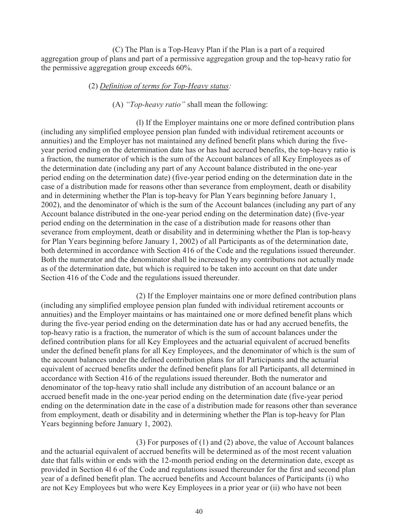(C) The Plan is a Top-Heavy Plan if the Plan is a part of a required aggregation group of plans and part of a permissive aggregation group and the top-heavy ratio for the permissive aggregation group exceeds 60%.

#### (2) *Definition of terms for Top-Heavy status:*

#### (A) *"Top-heavy ratio"* shall mean the following:

 (l) If the Employer maintains one or more defined contribution plans (including any simplified employee pension plan funded with individual retirement accounts or annuities) and the Employer has not maintained any defined benefit plans which during the fiveyear period ending on the determination date has or has had accrued benefits, the top-heavy ratio is a fraction, the numerator of which is the sum of the Account balances of all Key Employees as of the determination date (including any part of any Account balance distributed in the one-year period ending on the determination date) (five-year period ending on the determination date in the case of a distribution made for reasons other than severance from employment, death or disability and in determining whether the Plan is top-heavy for Plan Years beginning before January 1, 2002), and the denominator of which is the sum of the Account balances (including any part of any Account balance distributed in the one-year period ending on the determination date) (five-year period ending on the determination in the case of a distribution made for reasons other than severance from employment, death or disability and in determining whether the Plan is top-heavy for Plan Years beginning before January 1, 2002) of all Participants as of the determination date, both determined in accordance with Section 416 of the Code and the regulations issued thereunder. Both the numerator and the denominator shall be increased by any contributions not actually made as of the determination date, but which is required to be taken into account on that date under Section 416 of the Code and the regulations issued thereunder.

 (2) If the Employer maintains one or more defined contribution plans (including any simplified employee pension plan funded with individual retirement accounts or annuities) and the Employer maintains or has maintained one or more defined benefit plans which during the five-year period ending on the determination date has or had any accrued benefits, the top-heavy ratio is a fraction, the numerator of which is the sum of account balances under the defined contribution plans for all Key Employees and the actuarial equivalent of accrued benefits under the defined benefit plans for all Key Employees, and the denominator of which is the sum of the account balances under the defined contribution plans for all Participants and the actuarial equivalent of accrued benefits under the defined benefit plans for all Participants, all determined in accordance with Section 416 of the regulations issued thereunder. Both the numerator and denominator of the top-heavy ratio shall include any distribution of an account balance or an accrued benefit made in the one-year period ending on the determination date (five-year period ending on the determination date in the case of a distribution made for reasons other than severance from employment, death or disability and in determining whether the Plan is top-heavy for Plan Years beginning before January 1, 2002).

 (3) For purposes of (1) and (2) above, the value of Account balances and the actuarial equivalent of accrued benefits will be determined as of the most recent valuation date that falls within or ends with the 12-month period ending on the determination date, except as provided in Section 4l 6 of the Code and regulations issued thereunder for the first and second plan year of a defined benefit plan. The accrued benefits and Account balances of Participants (i) who are not Key Employees but who were Key Employees in a prior year or (ii) who have not been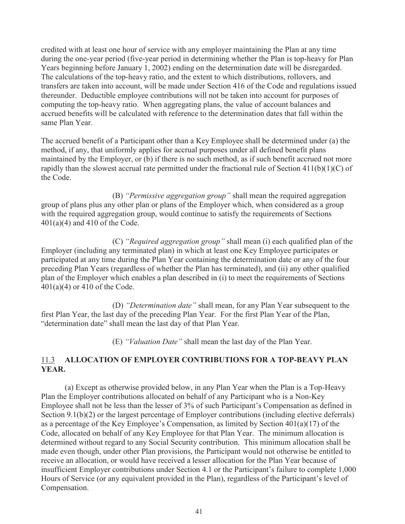credited with at least one hour of service with any employer maintaining the Plan at any time during the one-year period (five-year period in determining whether the Plan is top-heavy for Plan Years beginning before January 1, 2002) ending on the determination date will be disregarded. The calculations of the top-heavy ratio, and the extent to which distributions, rollovers, and transfers are taken into account, will be made under Section 416 of the Code and regulations issued thereunder. Deductible employee contributions will not be taken into account for purposes of computing the top-heavy ratio. When aggregating plans, the value of account balances and accrued benefits will be calculated with reference to the determination dates that fall within the same Plan Year.

The accrued benefit of a Participant other than a Key Employee shall be determined under (a) the method, if any, that uniformly applies for accrual purposes under all defined benefit plans maintained by the Employer, or (b) if there is no such method, as if such benefit accrued not more rapidly than the slowest accrual rate permitted under the fractional rule of Section 411(b)(1)(C) of the Code.

 (B) *"Permissive aggregation group"* shall mean the required aggregation group of plans plus any other plan or plans of the Employer which, when considered as a group with the required aggregation group, would continue to satisfy the requirements of Sections 401(a)(4) and 410 of the Code.

(C) *"Required aggregation group"* shall mean (i) each qualified plan of the Employer (including any terminated plan) in which at least one Key Employee participates or participated at any time during the Plan Year containing the determination date or any of the four preceding Plan Years (regardless of whether the Plan has terminated), and (ii) any other qualified plan of the Employer which enables a plan described in (i) to meet the requirements of Sections 401(a)(4) or 410 of the Code.

 (D) *"Determination date"* shall mean, for any Plan Year subsequent to the first Plan Year, the last day of the preceding Plan Year. For the first Plan Year of the Plan, "determination date" shall mean the last day of that Plan Year.

(E) *"Valuation Date"* shall mean the last day of the Plan Year.

# 11.3 **ALLOCATION OF EMPLOYER CONTRIBUTIONS FOR A TOP-BEAVY PLAN YEAR.**

 (a) Except as otherwise provided below, in any Plan Year when the Plan is a Top-Heavy Plan the Employer contributions allocated on behalf of any Participant who is a Non-Key Employee shall not be less than the lesser of 3% of such Participant's Compensation as defined in Section 9.1(b)(2) or the largest percentage of Employer contributions (including elective deferrals) as a percentage of the Key Employee's Compensation, as limited by Section 401(a)(17) of the Code, allocated on behalf of any Key Employee for that Plan Year. The minimum allocation is determined without regard to any Social Security contribution. This minimum allocation shall be made even though, under other Plan provisions, the Participant would not otherwise be entitled to receive an allocation, or would have received a lesser allocation for the Plan Year because of insufficient Employer contributions under Section 4.1 or the Participant's failure to complete 1,000 Hours of Service (or any equivalent provided in the Plan), regardless of the Participant's level of Compensation.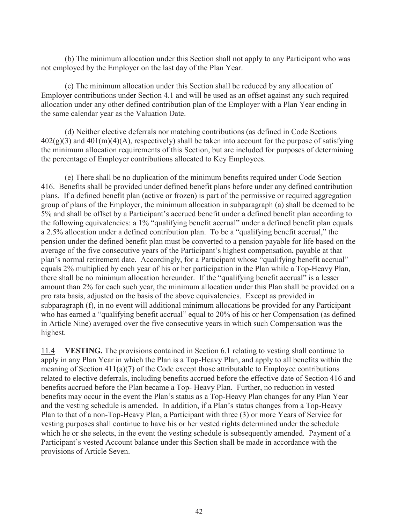(b) The minimum allocation under this Section shall not apply to any Participant who was not employed by the Employer on the last day of the Plan Year.

 (c) The minimum allocation under this Section shall be reduced by any allocation of Employer contributions under Section 4.1 and will be used as an offset against any such required allocation under any other defined contribution plan of the Employer with a Plan Year ending in the same calendar year as the Valuation Date.

 (d) Neither elective deferrals nor matching contributions (as defined in Code Sections  $402(g)(3)$  and  $401(m)(4)(A)$ , respectively) shall be taken into account for the purpose of satisfying the minimum allocation requirements of this Section, but are included for purposes of determining the percentage of Employer contributions allocated to Key Employees.

 (e) There shall be no duplication of the minimum benefits required under Code Section 416. Benefits shall be provided under defined benefit plans before under any defined contribution plans. If a defined benefit plan (active or frozen) is part of the permissive or required aggregation group of plans of the Employer, the minimum allocation in subparagraph (a) shall be deemed to be 5% and shall be offset by a Participant's accrued benefit under a defined benefit plan according to the following equivalencies: a 1% "qualifying benefit accrual" under a defined benefit plan equals a 2.5% allocation under a defined contribution plan. To be a "qualifying benefit accrual," the pension under the defined benefit plan must be converted to a pension payable for life based on the average of the five consecutive years of the Participant's highest compensation, payable at that plan's normal retirement date. Accordingly, for a Participant whose "qualifying benefit accrual" equals 2% multiplied by each year of his or her participation in the Plan while a Top-Heavy Plan, there shall be no minimum allocation hereunder. If the "qualifying benefit accrual" is a lesser amount than 2% for each such year, the minimum allocation under this Plan shall be provided on a pro rata basis, adjusted on the basis of the above equivalencies. Except as provided in subparagraph (f), in no event will additional minimum allocations be provided for any Participant who has earned a "qualifying benefit accrual" equal to 20% of his or her Compensation (as defined in Article Nine) averaged over the five consecutive years in which such Compensation was the highest.

11.4 **VESTING.** The provisions contained in Section 6.1 relating to vesting shall continue to apply in any Plan Year in which the Plan is a Top-Heavy Plan, and apply to all benefits within the meaning of Section  $411(a)(7)$  of the Code except those attributable to Employee contributions related to elective deferrals, including benefits accrued before the effective date of Section 416 and benefits accrued before the Plan became a Top- Heavy Plan. Further, no reduction in vested benefits may occur in the event the Plan's status as a Top-Heavy Plan changes for any Plan Year and the vesting schedule is amended. In addition, if a Plan's status changes from a Top-Heavy Plan to that of a non-Top-Heavy Plan, a Participant with three (3) or more Years of Service for vesting purposes shall continue to have his or her vested rights determined under the schedule which he or she selects, in the event the vesting schedule is subsequently amended. Payment of a Participant's vested Account balance under this Section shall be made in accordance with the provisions of Article Seven.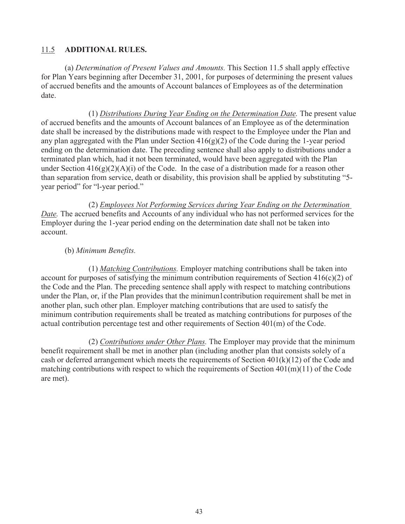## 11.5 **ADDITIONAL RULES.**

(a) *Determination of Present Values and Amounts.* This Section 11.5 shall apply effective for Plan Years beginning after December 31, 2001, for purposes of determining the present values of accrued benefits and the amounts of Account balances of Employees as of the determination date.

(1) *Distributions During Year Ending on the Determination Date.* The present value of accrued benefits and the amounts of Account balances of an Employee as of the determination date shall be increased by the distributions made with respect to the Employee under the Plan and any plan aggregated with the Plan under Section  $416(g)(2)$  of the Code during the 1-year period ending on the determination date. The preceding sentence shall also apply to distributions under a terminated plan which, had it not been terminated, would have been aggregated with the Plan under Section  $416(g)(2)(A)(i)$  of the Code. In the case of a distribution made for a reason other than separation from service, death or disability, this provision shall be applied by substituting "5 year period" for "l-year period."

(2) *Employees Not Performing Services during Year Ending on the Determination Date.* The accrued benefits and Accounts of any individual who has not performed services for the Employer during the 1-year period ending on the determination date shall not be taken into account.

#### (b) *Minimum Benefits.*

(1) *Matching Contributions.* Employer matching contributions shall be taken into account for purposes of satisfying the minimum contribution requirements of Section  $416(c)(2)$  of the Code and the Plan. The preceding sentence shall apply with respect to matching contributions under the Plan, or, if the Plan provides that the minimun1contribution requirement shall be met in another plan, such other plan. Employer matching contributions that are used to satisfy the minimum contribution requirements shall be treated as matching contributions for purposes of the actual contribution percentage test and other requirements of Section 401(m) of the Code.

(2) *Contributions under Other Plans.* The Employer may provide that the minimum benefit requirement shall be met in another plan (including another plan that consists solely of a cash or deferred arrangement which meets the requirements of Section  $401(k)(12)$  of the Code and matching contributions with respect to which the requirements of Section 401(m)(11) of the Code are met).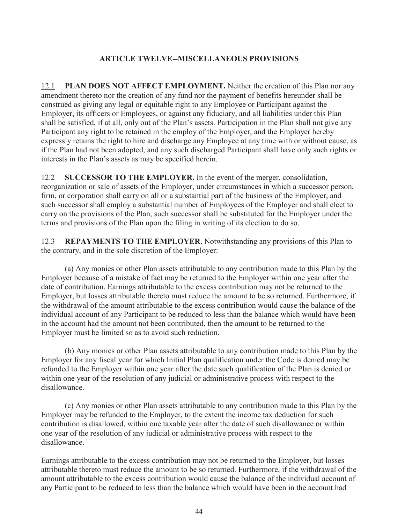# **ARTICLE TWELVE--MISCELLANEOUS PROVISIONS**

12.1 **PLAN DOES NOT AFFECT EMPLOYMENT.** Neither the creation of this Plan nor any amendment thereto nor the creation of any fund nor the payment of benefits hereunder shall be construed as giving any legal or equitable right to any Employee or Participant against the Employer, its officers or Employees, or against any fiduciary, and all liabilities under this Plan shall be satisfied, if at all, only out of the Plan's assets. Participation in the Plan shall not give any Participant any right to be retained in the employ of the Employer, and the Employer hereby expressly retains the right to hire and discharge any Employee at any time with or without cause, as if the Plan had not been adopted, and any such discharged Participant shall have only such rights or interests in the Plan's assets as may be specified herein.

12.2 **SUCCESSOR TO THE EMPLOYER.** In the event of the merger, consolidation, reorganization or sale of assets of the Employer, under circumstances in which a successor person, firm, or corporation shall carry on all or a substantial part of the business of the Employer, and such successor shall employ a substantial number of Employees of the Employer and shall elect to carry on the provisions of the Plan, such successor shall be substituted for the Employer under the terms and provisions of the Plan upon the filing in writing of its election to do so.

12.3 **REPAYMENTS TO THE EMPLOYER.** Notwithstanding any provisions of this Plan to the contrary, and in the sole discretion of the Employer:

 (a) Any monies or other Plan assets attributable to any contribution made to this Plan by the Employer because of a mistake of fact may be returned to the Employer within one year after the date of contribution. Earnings attributable to the excess contribution may not be returned to the Employer, but losses attributable thereto must reduce the amount to be so returned. Furthermore, if the withdrawal of the amount attributable to the excess contribution would cause the balance of the individual account of any Participant to be reduced to less than the balance which would have been in the account had the amount not been contributed, then the amount to be returned to the Employer must be limited so as to avoid such reduction.

 (b) Any monies or other Plan assets attributable to any contribution made to this Plan by the Employer for any fiscal year for which Initial Plan qualification under the Code is denied may be refunded to the Employer within one year after the date such qualification of the Plan is denied or within one year of the resolution of any judicial or administrative process with respect to the disallowance.

 (c) Any monies or other Plan assets attributable to any contribution made to this Plan by the Employer may be refunded to the Employer, to the extent the income tax deduction for such contribution is disallowed, within one taxable year after the date of such disallowance or within one year of the resolution of any judicial or administrative process with respect to the disallowance.

Earnings attributable to the excess contribution may not be returned to the Employer, but losses attributable thereto must reduce the amount to be so returned. Furthermore, if the withdrawal of the amount attributable to the excess contribution would cause the balance of the individual account of any Participant to be reduced to less than the balance which would have been in the account had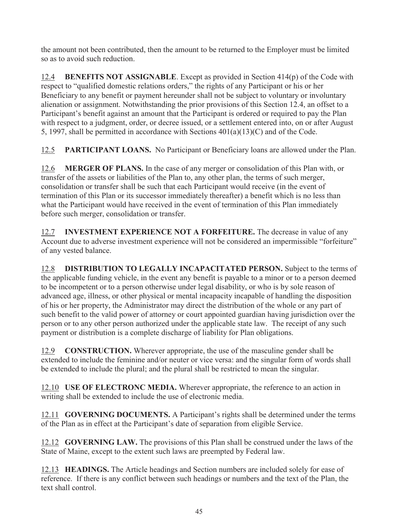the amount not been contributed, then the amount to be returned to the Employer must be limited so as to avoid such reduction.

12.4 **BENEFITS NOT ASSIGNABLE**. Except as provided in Section 414(p) of the Code with respect to "qualified domestic relations orders," the rights of any Participant or his or her Beneficiary to any benefit or payment hereunder shall not be subject to voluntary or involuntary alienation or assignment. Notwithstanding the prior provisions of this Section 12.4, an offset to a Participant's benefit against an amount that the Participant is ordered or required to pay the Plan with respect to a judgment, order, or decree issued, or a settlement entered into, on or after August 5, 1997, shall be permitted in accordance with Sections 401(a)(13)(C) and of the Code.

12.5 **PARTICIPANT LOANS.** No Participant or Beneficiary loans are allowed under the Plan.

12.6 **MERGER OF PLANS.** In the case of any merger or consolidation of this Plan with, or transfer of the assets or liabilities of the Plan to, any other plan, the terms of such merger, consolidation or transfer shall be such that each Participant would receive (in the event of termination of this Plan or its successor immediately thereafter) a benefit which is no less than what the Participant would have received in the event of termination of this Plan immediately before such merger, consolidation or transfer.

12.7 **INVESTMENT EXPERIENCE NOT A FORFEITURE.** The decrease in value of any Account due to adverse investment experience will not be considered an impermissible "forfeiture" of any vested balance.

12.8 **DISTRIBUTION TO LEGALLY INCAPACITATED PERSON.** Subject to the terms of the applicable funding vehicle, in the event any benefit is payable to a minor or to a person deemed to be incompetent or to a person otherwise under legal disability, or who is by sole reason of advanced age, illness, or other physical or mental incapacity incapable of handling the disposition of his or her property, the Administrator may direct the distribution of the whole or any part of such benefit to the valid power of attorney or court appointed guardian having jurisdiction over the person or to any other person authorized under the applicable state law. The receipt of any such payment or distribution is a complete discharge of liability for Plan obligations.

12.9 **CONSTRUCTION.** Wherever appropriate, the use of the masculine gender shall be extended to include the feminine and/or neuter or vice versa: and the singular form of words shall be extended to include the plural; and the plural shall be restricted to mean the singular.

12.10 **USE OF ELECTRONC MEDIA.** Wherever appropriate, the reference to an action in writing shall be extended to include the use of electronic media.

12.11 **GOVERNING DOCUMENTS.** A Participant's rights shall be determined under the terms of the Plan as in effect at the Participant's date of separation from eligible Service.

12.12 **GOVERNING LAW.** The provisions of this Plan shall be construed under the laws of the State of Maine, except to the extent such laws are preempted by Federal law.

12.13 **HEADINGS.** The Article headings and Section numbers are included solely for ease of reference. If there is any conflict between such headings or numbers and the text of the Plan, the text shall control.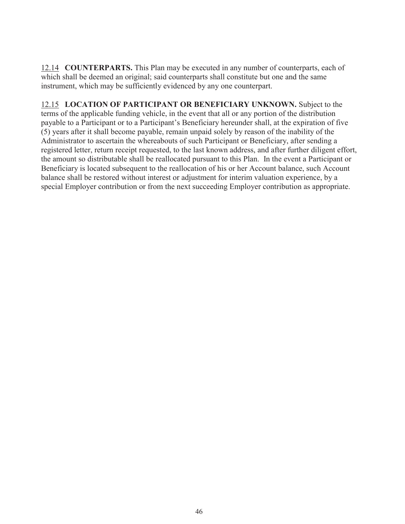12.14 **COUNTERPARTS.** This Plan may be executed in any number of counterparts, each of which shall be deemed an original; said counterparts shall constitute but one and the same instrument, which may be sufficiently evidenced by any one counterpart.

12.15 **LOCATION OF PARTICIPANT OR BENEFICIARY UNKNOWN.** Subject to the terms of the applicable funding vehicle, in the event that all or any portion of the distribution payable to a Participant or to a Participant's Beneficiary hereunder shall, at the expiration of five (5) years after it shall become payable, remain unpaid solely by reason of the inability of the Administrator to ascertain the whereabouts of such Participant or Beneficiary, after sending a registered letter, return receipt requested, to the last known address, and after further diligent effort, the amount so distributable shall be reallocated pursuant to this Plan. In the event a Participant or Beneficiary is located subsequent to the reallocation of his or her Account balance, such Account balance shall be restored without interest or adjustment for interim valuation experience, by a special Employer contribution or from the next succeeding Employer contribution as appropriate.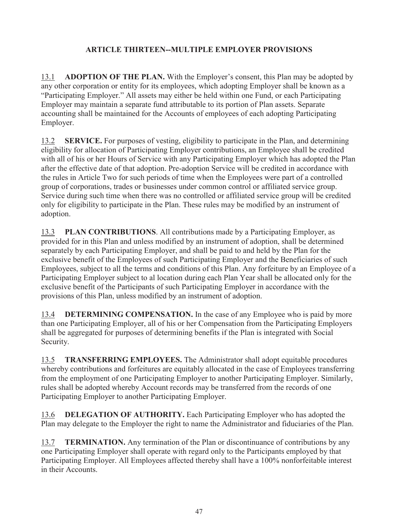# **ARTICLE THIRTEEN--MULTIPLE EMPLOYER PROVISIONS**

13.1 **ADOPTION OF THE PLAN.** With the Employer's consent, this Plan may be adopted by any other corporation or entity for its employees, which adopting Employer shall be known as a "Participating Employer." All assets may either be held within one Fund, or each Participating Employer may maintain a separate fund attributable to its portion of Plan assets. Separate accounting shall be maintained for the Accounts of employees of each adopting Participating Employer.

13.2 **SERVICE.** For purposes of vesting, eligibility to participate in the Plan, and determining eligibility for allocation of Participating Employer contributions, an Employee shall be credited with all of his or her Hours of Service with any Participating Employer which has adopted the Plan after the effective date of that adoption. Pre-adoption Service will be credited in accordance with the rules in Article Two for such periods of time when the Employees were part of a controlled group of corporations, trades or businesses under common control or affiliated service group. Service during such time when there was no controlled or affiliated service group will be credited only for eligibility to participate in the Plan. These rules may be modified by an instrument of adoption.

13.3 **PLAN CONTRIBUTIONS**. All contributions made by a Participating Employer, as provided for in this Plan and unless modified by an instrument of adoption, shall be determined separately by each Participating Employer, and shall be paid to and held by the Plan for the exclusive benefit of the Employees of such Participating Employer and the Beneficiaries of such Employees, subject to all the terms and conditions of this Plan. Any forfeiture by an Employee of a Participating Employer subject to al location during each Plan Year shall be allocated only for the exclusive benefit of the Participants of such Participating Employer in accordance with the provisions of this Plan, unless modified by an instrument of adoption.

13.4 **DETERMINING COMPENSATION.** In the case of any Employee who is paid by more than one Participating Employer, all of his or her Compensation from the Participating Employers shall be aggregated for purposes of determining benefits if the Plan is integrated with Social Security.

13.5 **TRANSFERRING EMPLOYEES.** The Administrator shall adopt equitable procedures whereby contributions and forfeitures are equitably allocated in the case of Employees transferring from the employment of one Participating Employer to another Participating Employer. Similarly, rules shall be adopted whereby Account records may be transferred from the records of one Participating Employer to another Participating Employer.

13.6 **DELEGATION OF AUTHORITY.** Each Participating Employer who has adopted the Plan may delegate to the Employer the right to name the Administrator and fiduciaries of the Plan.

13.7 **TERMINATION.** Any termination of the Plan or discontinuance of contributions by any one Participating Employer shall operate with regard only to the Participants employed by that Participating Employer. All Employees affected thereby shall have a 100% nonforfeitable interest in their Accounts.